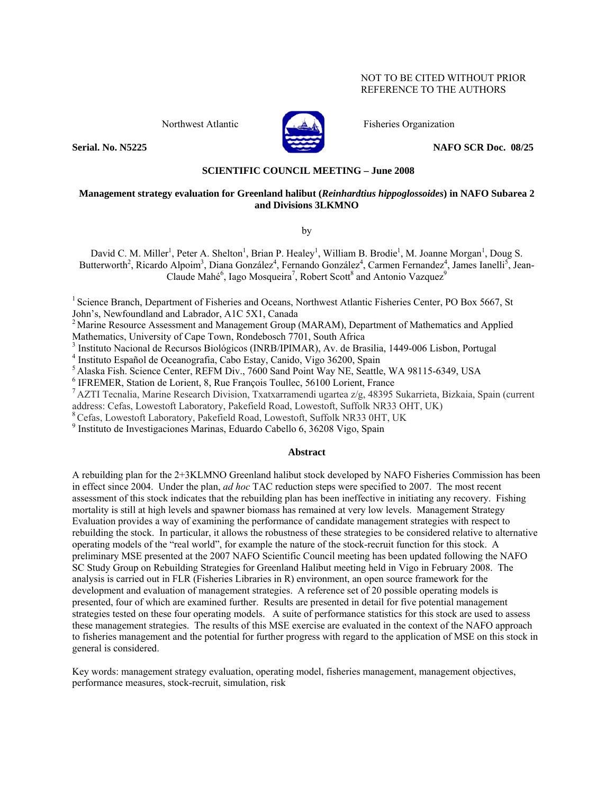#### NOT TO BE CITED WITHOUT PRIOR REFERENCE TO THE AUTHORS



Northwest Atlantic **Fisheries Organization** 

**Serial. No. N5225 NAFO SCR Doc. 08/25** 

### **SCIENTIFIC COUNCIL MEETING – June 2008**

#### **Management strategy evaluation for Greenland halibut (***Reinhardtius hippoglossoides***) in NAFO Subarea 2 and Divisions 3LKMNO**

by

David C. M. Miller<sup>1</sup>, Peter A. Shelton<sup>1</sup>, Brian P. Healey<sup>1</sup>, William B. Brodie<sup>1</sup>, M. Joanne Morgan<sup>1</sup>, Doug S. Butterworth<sup>2</sup>, Ricardo Alpoim<sup>3</sup>, Diana González<sup>4</sup>, Fernando González<sup>4</sup>, Carmen Fernandez<sup>4</sup>, James Ianelli<sup>5</sup>, Jean-Claude Mahé<sup>6</sup>, Iago Mosqueira<sup>7</sup>, Robert Scott<sup>8</sup> and Antonio Vazquez<sup>9</sup>

<sup>1</sup> Science Branch, Department of Fisheries and Oceans, Northwest Atlantic Fisheries Center, PO Box 5667, St John's, Newfoundland and Labrador, A1C 5X1, Canada

<sup>2</sup> Marine Resource Assessment and Management Group (MARAM), Department of Mathematics and Applied Mathematics, University of Cape Town, Rondebosch 7701, South Africa

<sup>3</sup> Instituto Nacional de Recursos Biológicos (INRB/IPIMAR), Av. de Brasilia, 1449-006 Lisbon, Portugal <sup>4</sup> Instituto Español de Oscanografia, Cebo Estau, Capido, Viso 26200, Spain

<sup>4</sup> Instituto Español de Oceanografia, Cabo Estay, Canido, Vigo 36200, Spain

<sup>5</sup> Alaska Fish. Science Center, REFM Div., 7600 Sand Point Way NE, Seattle, WA 98115-6349, USA <sup>6</sup> IFREMER, Station de Lorient, 8, Rue François Toullec, 56100 Lorient, France

<sup>7</sup> AZTI Tecnalia, Marine Research Division, Txatxarramendi ugartea z/g, 48395 Sukarrieta, Bizkaia, Spain (current

address: Cefas, Lowestoft Laboratory, Pakefield Road, Lowestoft, Suffolk NR33 OHT, UK) <sup>8</sup> Cefas, Lowestoft Laboratory, Pakefield Road, Lowestoft, Suffolk NR33 0HT, UK

9 Instituto de Investigaciones Marinas, Eduardo Cabello 6, 36208 Vigo, Spain

#### **Abstract**

A rebuilding plan for the 2+3KLMNO Greenland halibut stock developed by NAFO Fisheries Commission has been in effect since 2004. Under the plan, *ad hoc* TAC reduction steps were specified to 2007. The most recent assessment of this stock indicates that the rebuilding plan has been ineffective in initiating any recovery. Fishing mortality is still at high levels and spawner biomass has remained at very low levels. Management Strategy Evaluation provides a way of examining the performance of candidate management strategies with respect to rebuilding the stock. In particular, it allows the robustness of these strategies to be considered relative to alternative operating models of the "real world", for example the nature of the stock-recruit function for this stock. A preliminary MSE presented at the 2007 NAFO Scientific Council meeting has been updated following the NAFO SC Study Group on Rebuilding Strategies for Greenland Halibut meeting held in Vigo in February 2008. The analysis is carried out in FLR (Fisheries Libraries in R) environment, an open source framework for the development and evaluation of management strategies. A reference set of 20 possible operating models is presented, four of which are examined further. Results are presented in detail for five potential management strategies tested on these four operating models. A suite of performance statistics for this stock are used to assess these management strategies. The results of this MSE exercise are evaluated in the context of the NAFO approach to fisheries management and the potential for further progress with regard to the application of MSE on this stock in general is considered.

Key words: management strategy evaluation, operating model, fisheries management, management objectives, performance measures, stock-recruit, simulation, risk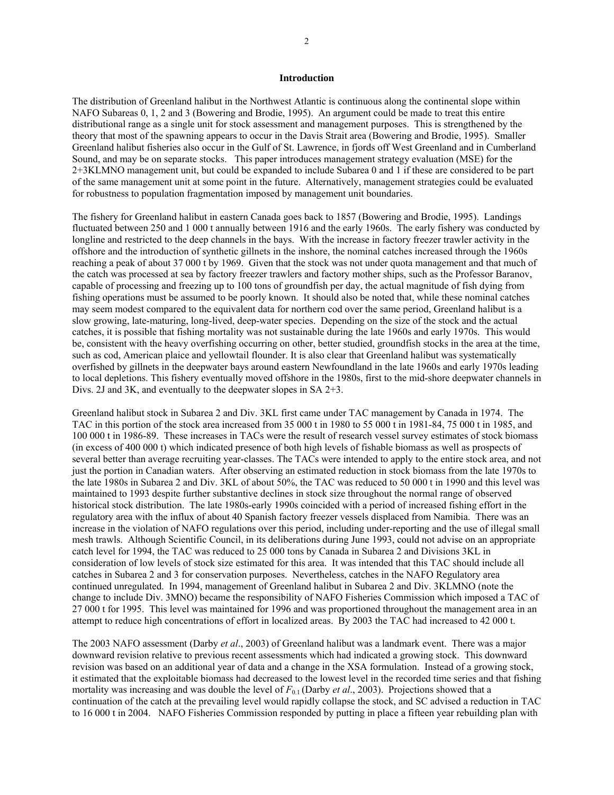#### **Introduction**

The distribution of Greenland halibut in the Northwest Atlantic is continuous along the continental slope within NAFO Subareas 0, 1, 2 and 3 (Bowering and Brodie, 1995). An argument could be made to treat this entire distributional range as a single unit for stock assessment and management purposes. This is strengthened by the theory that most of the spawning appears to occur in the Davis Strait area (Bowering and Brodie, 1995). Smaller Greenland halibut fisheries also occur in the Gulf of St. Lawrence, in fjords off West Greenland and in Cumberland Sound, and may be on separate stocks. This paper introduces management strategy evaluation (MSE) for the 2+3KLMNO management unit, but could be expanded to include Subarea 0 and 1 if these are considered to be part of the same management unit at some point in the future. Alternatively, management strategies could be evaluated for robustness to population fragmentation imposed by management unit boundaries.

The fishery for Greenland halibut in eastern Canada goes back to 1857 (Bowering and Brodie, 1995). Landings fluctuated between 250 and 1 000 t annually between 1916 and the early 1960s. The early fishery was conducted by longline and restricted to the deep channels in the bays. With the increase in factory freezer trawler activity in the offshore and the introduction of synthetic gillnets in the inshore, the nominal catches increased through the 1960s reaching a peak of about 37 000 t by 1969. Given that the stock was not under quota management and that much of the catch was processed at sea by factory freezer trawlers and factory mother ships, such as the Professor Baranov, capable of processing and freezing up to 100 tons of groundfish per day, the actual magnitude of fish dying from fishing operations must be assumed to be poorly known. It should also be noted that, while these nominal catches may seem modest compared to the equivalent data for northern cod over the same period, Greenland halibut is a slow growing, late-maturing, long-lived, deep-water species. Depending on the size of the stock and the actual catches, it is possible that fishing mortality was not sustainable during the late 1960s and early 1970s. This would be, consistent with the heavy overfishing occurring on other, better studied, groundfish stocks in the area at the time, such as cod, American plaice and yellowtail flounder. It is also clear that Greenland halibut was systematically overfished by gillnets in the deepwater bays around eastern Newfoundland in the late 1960s and early 1970s leading to local depletions. This fishery eventually moved offshore in the 1980s, first to the mid-shore deepwater channels in Divs. 2J and 3K, and eventually to the deepwater slopes in SA 2+3.

Greenland halibut stock in Subarea 2 and Div. 3KL first came under TAC management by Canada in 1974. The TAC in this portion of the stock area increased from 35 000 t in 1980 to 55 000 t in 1981-84, 75 000 t in 1985, and 100 000 t in 1986-89. These increases in TACs were the result of research vessel survey estimates of stock biomass (in excess of 400 000 t) which indicated presence of both high levels of fishable biomass as well as prospects of several better than average recruiting year-classes. The TACs were intended to apply to the entire stock area, and not just the portion in Canadian waters. After observing an estimated reduction in stock biomass from the late 1970s to the late 1980s in Subarea 2 and Div. 3KL of about 50%, the TAC was reduced to 50 000 t in 1990 and this level was maintained to 1993 despite further substantive declines in stock size throughout the normal range of observed historical stock distribution. The late 1980s-early 1990s coincided with a period of increased fishing effort in the regulatory area with the influx of about 40 Spanish factory freezer vessels displaced from Namibia. There was an increase in the violation of NAFO regulations over this period, including under-reporting and the use of illegal small mesh trawls. Although Scientific Council, in its deliberations during June 1993, could not advise on an appropriate catch level for 1994, the TAC was reduced to 25 000 tons by Canada in Subarea 2 and Divisions 3KL in consideration of low levels of stock size estimated for this area. It was intended that this TAC should include all catches in Subarea 2 and 3 for conservation purposes. Nevertheless, catches in the NAFO Regulatory area continued unregulated. In 1994, management of Greenland halibut in Subarea 2 and Div. 3KLMNO (note the change to include Div. 3MNO) became the responsibility of NAFO Fisheries Commission which imposed a TAC of 27 000 t for 1995. This level was maintained for 1996 and was proportioned throughout the management area in an attempt to reduce high concentrations of effort in localized areas. By 2003 the TAC had increased to 42 000 t.

The 2003 NAFO assessment (Darby *et al*., 2003) of Greenland halibut was a landmark event. There was a major downward revision relative to previous recent assessments which had indicated a growing stock. This downward revision was based on an additional year of data and a change in the XSA formulation. Instead of a growing stock, it estimated that the exploitable biomass had decreased to the lowest level in the recorded time series and that fishing mortality was increasing and was double the level of  $F_{0.1}$  (Darby *et al.*, 2003). Projections showed that a continuation of the catch at the prevailing level would rapidly collapse the stock, and SC advised a reduction in TAC to 16 000 t in 2004. NAFO Fisheries Commission responded by putting in place a fifteen year rebuilding plan with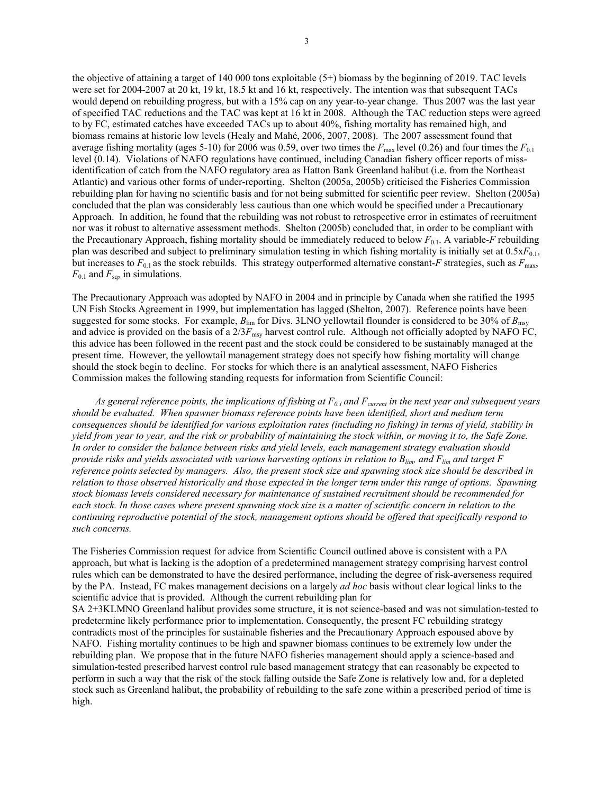the objective of attaining a target of 140 000 tons exploitable (5+) biomass by the beginning of 2019. TAC levels were set for 2004-2007 at 20 kt, 19 kt, 18.5 kt and 16 kt, respectively. The intention was that subsequent TACs would depend on rebuilding progress, but with a 15% cap on any year-to-year change. Thus 2007 was the last year of specified TAC reductions and the TAC was kept at 16 kt in 2008. Although the TAC reduction steps were agreed to by FC, estimated catches have exceeded TACs up to about 40%, fishing mortality has remained high, and biomass remains at historic low levels (Healy and Mahé, 2006, 2007, 2008). The 2007 assessment found that average fishing mortality (ages 5-10) for 2006 was 0.59, over two times the  $F_{\text{max}}$  level (0.26) and four times the  $F_{0.1}$ level (0.14). Violations of NAFO regulations have continued, including Canadian fishery officer reports of missidentification of catch from the NAFO regulatory area as Hatton Bank Greenland halibut (i.e. from the Northeast Atlantic) and various other forms of under-reporting. Shelton (2005a, 2005b) criticised the Fisheries Commission rebuilding plan for having no scientific basis and for not being submitted for scientific peer review. Shelton (2005a) concluded that the plan was considerably less cautious than one which would be specified under a Precautionary Approach. In addition, he found that the rebuilding was not robust to retrospective error in estimates of recruitment nor was it robust to alternative assessment methods. Shelton (2005b) concluded that, in order to be compliant with the Precautionary Approach, fishing mortality should be immediately reduced to below  $F_{0,1}$ . A variable-*F* rebuilding plan was described and subject to preliminary simulation testing in which fishing mortality is initially set at 0.5x*F*0.1, but increases to  $F_{0.1}$  as the stock rebuilds. This strategy outperformed alternative constant-*F* strategies, such as  $F_{\text{max}}$ ,  $F_{0.1}$  and  $F_{\text{sq}}$ , in simulations.

The Precautionary Approach was adopted by NAFO in 2004 and in principle by Canada when she ratified the 1995 UN Fish Stocks Agreement in 1999, but implementation has lagged (Shelton, 2007). Reference points have been suggested for some stocks. For example,  $B_{\text{lim}}$  for Divs. 3LNO yellowtail flounder is considered to be 30% of  $B_{\text{max}}$ and advice is provided on the basis of a  $2/3F_{\rm msy}$  harvest control rule. Although not officially adopted by NAFO FC, this advice has been followed in the recent past and the stock could be considered to be sustainably managed at the present time. However, the yellowtail management strategy does not specify how fishing mortality will change should the stock begin to decline. For stocks for which there is an analytical assessment, NAFO Fisheries Commission makes the following standing requests for information from Scientific Council:

 *As general reference points, the implications of fishing at F0.1 and Fcurrent in the next year and subsequent years should be evaluated. When spawner biomass reference points have been identified, short and medium term consequences should be identified for various exploitation rates (including no fishing) in terms of yield, stability in yield from year to year, and the risk or probability of maintaining the stock within, or moving it to, the Safe Zone. In order to consider the balance between risks and yield levels, each management strategy evaluation should provide risks and yields associated with various harvesting options in relation to Blim, and Flim and target F reference points selected by managers. Also, the present stock size and spawning stock size should be described in relation to those observed historically and those expected in the longer term under this range of options. Spawning stock biomass levels considered necessary for maintenance of sustained recruitment should be recommended for each stock. In those cases where present spawning stock size is a matter of scientific concern in relation to the continuing reproductive potential of the stock, management options should be offered that specifically respond to such concerns.* 

The Fisheries Commission request for advice from Scientific Council outlined above is consistent with a PA approach, but what is lacking is the adoption of a predetermined management strategy comprising harvest control rules which can be demonstrated to have the desired performance, including the degree of risk-averseness required by the PA. Instead, FC makes management decisions on a largely *ad hoc* basis without clear logical links to the scientific advice that is provided. Although the current rebuilding plan for

SA 2+3KLMNO Greenland halibut provides some structure, it is not science-based and was not simulation-tested to predetermine likely performance prior to implementation. Consequently, the present FC rebuilding strategy contradicts most of the principles for sustainable fisheries and the Precautionary Approach espoused above by NAFO. Fishing mortality continues to be high and spawner biomass continues to be extremely low under the rebuilding plan. We propose that in the future NAFO fisheries management should apply a science-based and simulation-tested prescribed harvest control rule based management strategy that can reasonably be expected to perform in such a way that the risk of the stock falling outside the Safe Zone is relatively low and, for a depleted stock such as Greenland halibut, the probability of rebuilding to the safe zone within a prescribed period of time is high.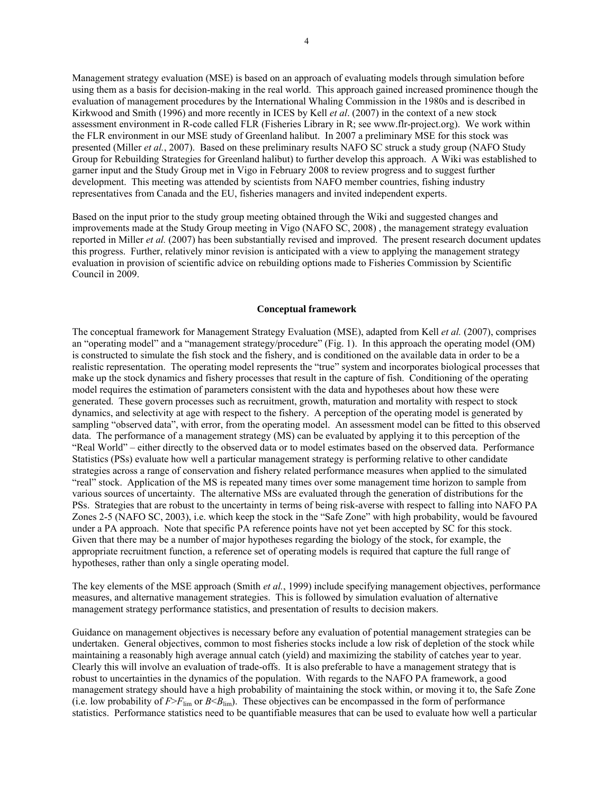Management strategy evaluation (MSE) is based on an approach of evaluating models through simulation before using them as a basis for decision-making in the real world. This approach gained increased prominence though the evaluation of management procedures by the International Whaling Commission in the 1980s and is described in Kirkwood and Smith (1996) and more recently in ICES by Kell *et al*. (2007) in the context of a new stock assessment environment in R-code called FLR (Fisheries Library in R; see www.flr-project.org). We work within the FLR environment in our MSE study of Greenland halibut. In 2007 a preliminary MSE for this stock was presented (Miller *et al.*, 2007). Based on these preliminary results NAFO SC struck a study group (NAFO Study Group for Rebuilding Strategies for Greenland halibut) to further develop this approach. A Wiki was established to garner input and the Study Group met in Vigo in February 2008 to review progress and to suggest further development. This meeting was attended by scientists from NAFO member countries, fishing industry representatives from Canada and the EU, fisheries managers and invited independent experts.

Based on the input prior to the study group meeting obtained through the Wiki and suggested changes and improvements made at the Study Group meeting in Vigo (NAFO SC, 2008) , the management strategy evaluation reported in Miller *et al.* (2007) has been substantially revised and improved. The present research document updates this progress. Further, relatively minor revision is anticipated with a view to applying the management strategy evaluation in provision of scientific advice on rebuilding options made to Fisheries Commission by Scientific Council in 2009.

#### **Conceptual framework**

The conceptual framework for Management Strategy Evaluation (MSE), adapted from Kell *et al.* (2007), comprises an "operating model" and a "management strategy/procedure" (Fig. 1). In this approach the operating model (OM) is constructed to simulate the fish stock and the fishery, and is conditioned on the available data in order to be a realistic representation. The operating model represents the "true" system and incorporates biological processes that make up the stock dynamics and fishery processes that result in the capture of fish. Conditioning of the operating model requires the estimation of parameters consistent with the data and hypotheses about how these were generated. These govern processes such as recruitment, growth, maturation and mortality with respect to stock dynamics, and selectivity at age with respect to the fishery. A perception of the operating model is generated by sampling "observed data", with error, from the operating model. An assessment model can be fitted to this observed data. The performance of a management strategy (MS) can be evaluated by applying it to this perception of the "Real World" – either directly to the observed data or to model estimates based on the observed data. Performance Statistics (PSs) evaluate how well a particular management strategy is performing relative to other candidate strategies across a range of conservation and fishery related performance measures when applied to the simulated "real" stock. Application of the MS is repeated many times over some management time horizon to sample from various sources of uncertainty. The alternative MSs are evaluated through the generation of distributions for the PSs. Strategies that are robust to the uncertainty in terms of being risk-averse with respect to falling into NAFO PA Zones 2-5 (NAFO SC, 2003), i.e. which keep the stock in the "Safe Zone" with high probability, would be favoured under a PA approach. Note that specific PA reference points have not yet been accepted by SC for this stock. Given that there may be a number of major hypotheses regarding the biology of the stock, for example, the appropriate recruitment function, a reference set of operating models is required that capture the full range of hypotheses, rather than only a single operating model.

The key elements of the MSE approach (Smith *et al.*, 1999) include specifying management objectives, performance measures, and alternative management strategies. This is followed by simulation evaluation of alternative management strategy performance statistics, and presentation of results to decision makers.

Guidance on management objectives is necessary before any evaluation of potential management strategies can be undertaken. General objectives, common to most fisheries stocks include a low risk of depletion of the stock while maintaining a reasonably high average annual catch (yield) and maximizing the stability of catches year to year. Clearly this will involve an evaluation of trade-offs. It is also preferable to have a management strategy that is robust to uncertainties in the dynamics of the population. With regards to the NAFO PA framework, a good management strategy should have a high probability of maintaining the stock within, or moving it to, the Safe Zone (i.e. low probability of  $F>F_{\text{lim}}$  or  $B < B_{\text{lim}}$ ). These objectives can be encompassed in the form of performance statistics. Performance statistics need to be quantifiable measures that can be used to evaluate how well a particular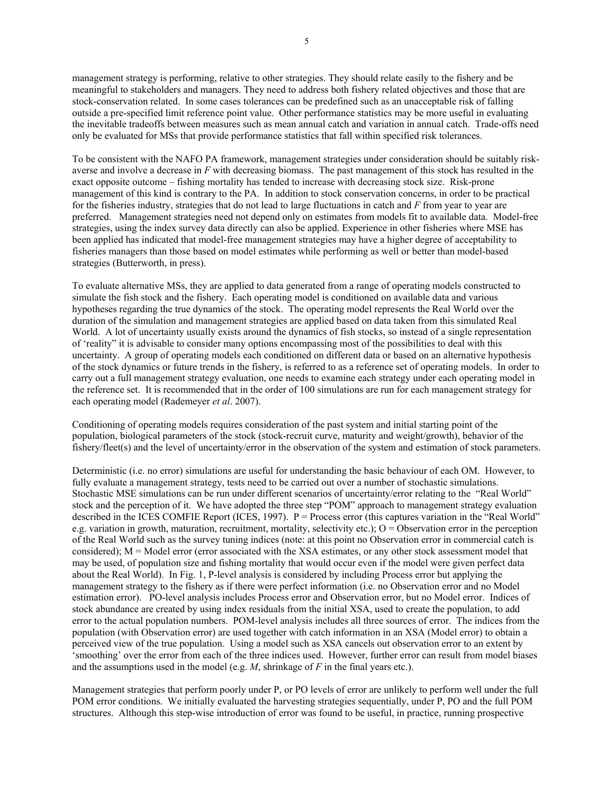management strategy is performing, relative to other strategies. They should relate easily to the fishery and be meaningful to stakeholders and managers. They need to address both fishery related objectives and those that are stock-conservation related. In some cases tolerances can be predefined such as an unacceptable risk of falling outside a pre-specified limit reference point value. Other performance statistics may be more useful in evaluating the inevitable tradeoffs between measures such as mean annual catch and variation in annual catch. Trade-offs need only be evaluated for MSs that provide performance statistics that fall within specified risk tolerances.

To be consistent with the NAFO PA framework, management strategies under consideration should be suitably riskaverse and involve a decrease in *F* with decreasing biomass. The past management of this stock has resulted in the exact opposite outcome – fishing mortality has tended to increase with decreasing stock size. Risk-prone management of this kind is contrary to the PA. In addition to stock conservation concerns, in order to be practical for the fisheries industry, strategies that do not lead to large fluctuations in catch and *F* from year to year are preferred. Management strategies need not depend only on estimates from models fit to available data. Model-free strategies, using the index survey data directly can also be applied. Experience in other fisheries where MSE has been applied has indicated that model-free management strategies may have a higher degree of acceptability to fisheries managers than those based on model estimates while performing as well or better than model-based strategies (Butterworth, in press).

To evaluate alternative MSs, they are applied to data generated from a range of operating models constructed to simulate the fish stock and the fishery. Each operating model is conditioned on available data and various hypotheses regarding the true dynamics of the stock. The operating model represents the Real World over the duration of the simulation and management strategies are applied based on data taken from this simulated Real World. A lot of uncertainty usually exists around the dynamics of fish stocks, so instead of a single representation of 'reality" it is advisable to consider many options encompassing most of the possibilities to deal with this uncertainty. A group of operating models each conditioned on different data or based on an alternative hypothesis of the stock dynamics or future trends in the fishery, is referred to as a reference set of operating models. In order to carry out a full management strategy evaluation, one needs to examine each strategy under each operating model in the reference set. It is recommended that in the order of 100 simulations are run for each management strategy for each operating model (Rademeyer *et al*. 2007).

Conditioning of operating models requires consideration of the past system and initial starting point of the population, biological parameters of the stock (stock-recruit curve, maturity and weight/growth), behavior of the fishery/fleet(s) and the level of uncertainty/error in the observation of the system and estimation of stock parameters.

Deterministic (i.e. no error) simulations are useful for understanding the basic behaviour of each OM. However, to fully evaluate a management strategy, tests need to be carried out over a number of stochastic simulations. Stochastic MSE simulations can be run under different scenarios of uncertainty/error relating to the "Real World" stock and the perception of it. We have adopted the three step "POM" approach to management strategy evaluation described in the ICES COMFIE Report (ICES, 1997). P = Process error (this captures variation in the "Real World" e.g. variation in growth, maturation, recruitment, mortality, selectivity etc.);  $O =$  Observation error in the perception of the Real World such as the survey tuning indices (note: at this point no Observation error in commercial catch is considered); M = Model error (error associated with the XSA estimates, or any other stock assessment model that may be used, of population size and fishing mortality that would occur even if the model were given perfect data about the Real World). In Fig. 1, P-level analysis is considered by including Process error but applying the management strategy to the fishery as if there were perfect information (i.e. no Observation error and no Model estimation error). PO-level analysis includes Process error and Observation error, but no Model error. Indices of stock abundance are created by using index residuals from the initial XSA, used to create the population, to add error to the actual population numbers. POM-level analysis includes all three sources of error. The indices from the population (with Observation error) are used together with catch information in an XSA (Model error) to obtain a perceived view of the true population. Using a model such as XSA cancels out observation error to an extent by 'smoothing' over the error from each of the three indices used. However, further error can result from model biases and the assumptions used in the model (e.g. *M*, shrinkage of *F* in the final years etc.).

Management strategies that perform poorly under P, or PO levels of error are unlikely to perform well under the full POM error conditions. We initially evaluated the harvesting strategies sequentially, under P, PO and the full POM structures. Although this step-wise introduction of error was found to be useful, in practice, running prospective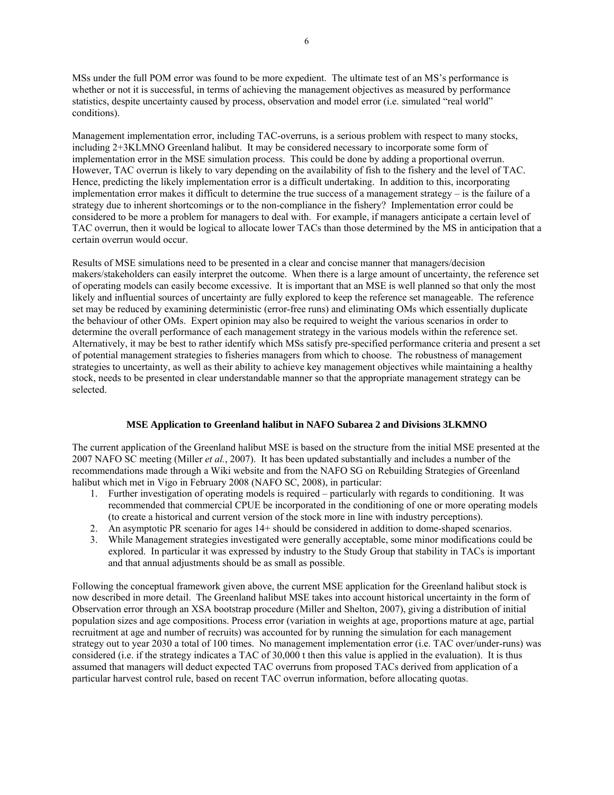MSs under the full POM error was found to be more expedient. The ultimate test of an MS's performance is whether or not it is successful, in terms of achieving the management objectives as measured by performance statistics, despite uncertainty caused by process, observation and model error (i.e. simulated "real world" conditions).

Management implementation error, including TAC-overruns, is a serious problem with respect to many stocks, including 2+3KLMNO Greenland halibut. It may be considered necessary to incorporate some form of implementation error in the MSE simulation process. This could be done by adding a proportional overrun. However, TAC overrun is likely to vary depending on the availability of fish to the fishery and the level of TAC. Hence, predicting the likely implementation error is a difficult undertaking. In addition to this, incorporating implementation error makes it difficult to determine the true success of a management strategy – is the failure of a strategy due to inherent shortcomings or to the non-compliance in the fishery? Implementation error could be considered to be more a problem for managers to deal with. For example, if managers anticipate a certain level of TAC overrun, then it would be logical to allocate lower TACs than those determined by the MS in anticipation that a certain overrun would occur.

Results of MSE simulations need to be presented in a clear and concise manner that managers/decision makers/stakeholders can easily interpret the outcome. When there is a large amount of uncertainty, the reference set of operating models can easily become excessive. It is important that an MSE is well planned so that only the most likely and influential sources of uncertainty are fully explored to keep the reference set manageable. The reference set may be reduced by examining deterministic (error-free runs) and eliminating OMs which essentially duplicate the behaviour of other OMs. Expert opinion may also be required to weight the various scenarios in order to determine the overall performance of each management strategy in the various models within the reference set. Alternatively, it may be best to rather identify which MSs satisfy pre-specified performance criteria and present a set of potential management strategies to fisheries managers from which to choose. The robustness of management strategies to uncertainty, as well as their ability to achieve key management objectives while maintaining a healthy stock, needs to be presented in clear understandable manner so that the appropriate management strategy can be selected.

### **MSE Application to Greenland halibut in NAFO Subarea 2 and Divisions 3LKMNO**

The current application of the Greenland halibut MSE is based on the structure from the initial MSE presented at the 2007 NAFO SC meeting (Miller *et al.*, 2007). It has been updated substantially and includes a number of the recommendations made through a Wiki website and from the NAFO SG on Rebuilding Strategies of Greenland halibut which met in Vigo in February 2008 (NAFO SC, 2008), in particular:

- 1. Further investigation of operating models is required particularly with regards to conditioning. It was recommended that commercial CPUE be incorporated in the conditioning of one or more operating models (to create a historical and current version of the stock more in line with industry perceptions).
- 2. An asymptotic PR scenario for ages 14+ should be considered in addition to dome-shaped scenarios.
- 3. While Management strategies investigated were generally acceptable, some minor modifications could be explored. In particular it was expressed by industry to the Study Group that stability in TACs is important and that annual adjustments should be as small as possible.

Following the conceptual framework given above, the current MSE application for the Greenland halibut stock is now described in more detail. The Greenland halibut MSE takes into account historical uncertainty in the form of Observation error through an XSA bootstrap procedure (Miller and Shelton, 2007), giving a distribution of initial population sizes and age compositions. Process error (variation in weights at age, proportions mature at age, partial recruitment at age and number of recruits) was accounted for by running the simulation for each management strategy out to year 2030 a total of 100 times. No management implementation error (i.e. TAC over/under-runs) was considered (i.e. if the strategy indicates a TAC of 30,000 t then this value is applied in the evaluation). It is thus assumed that managers will deduct expected TAC overruns from proposed TACs derived from application of a particular harvest control rule, based on recent TAC overrun information, before allocating quotas.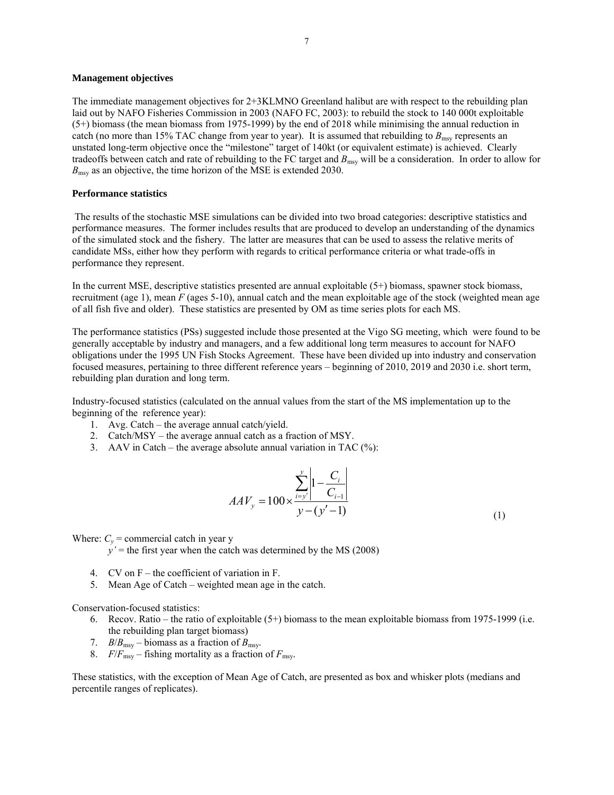#### **Management objectives**

The immediate management objectives for 2+3KLMNO Greenland halibut are with respect to the rebuilding plan laid out by NAFO Fisheries Commission in 2003 (NAFO FC, 2003): to rebuild the stock to 140 000t exploitable (5+) biomass (the mean biomass from 1975-1999) by the end of 2018 while minimising the annual reduction in catch (no more than 15% TAC change from year to year). It is assumed that rebuilding to  $B_{\text{msy}}$  represents an unstated long-term objective once the "milestone" target of 140kt (or equivalent estimate) is achieved. Clearly tradeoffs between catch and rate of rebuilding to the FC target and  $B_{\text{msy}}$  will be a consideration. In order to allow for  $B_{\text{msy}}$  as an objective, the time horizon of the MSE is extended 2030.

#### **Performance statistics**

 The results of the stochastic MSE simulations can be divided into two broad categories: descriptive statistics and performance measures. The former includes results that are produced to develop an understanding of the dynamics of the simulated stock and the fishery. The latter are measures that can be used to assess the relative merits of candidate MSs, either how they perform with regards to critical performance criteria or what trade-offs in performance they represent.

In the current MSE, descriptive statistics presented are annual exploitable (5+) biomass, spawner stock biomass, recruitment (age 1), mean *F* (ages 5-10), annual catch and the mean exploitable age of the stock (weighted mean age of all fish five and older). These statistics are presented by OM as time series plots for each MS.

The performance statistics (PSs) suggested include those presented at the Vigo SG meeting, which were found to be generally acceptable by industry and managers, and a few additional long term measures to account for NAFO obligations under the 1995 UN Fish Stocks Agreement. These have been divided up into industry and conservation focused measures, pertaining to three different reference years – beginning of 2010, 2019 and 2030 i.e. short term, rebuilding plan duration and long term.

Industry-focused statistics (calculated on the annual values from the start of the MS implementation up to the beginning of the reference year):

- 1. Avg. Catch the average annual catch/yield.
- 2. Catch/MSY the average annual catch as a fraction of MSY.
- 3. AAV in Catch the average absolute annual variation in TAC  $(\%)$ :

$$
AAV_{y} = 100 \times \frac{\sum_{i=y'}^{y} \left| 1 - \frac{C_{i}}{C_{i-1}} \right|}{y - (y'-1)}
$$
\n(1)

Where:  $C_y$  = commercial catch in year y

 $y'$  = the first year when the catch was determined by the MS (2008)

- 4. CV on F the coefficient of variation in F.
- 5. Mean Age of Catch weighted mean age in the catch.

Conservation-focused statistics:

- 6. Recov. Ratio the ratio of exploitable  $(5+)$  biomass to the mean exploitable biomass from 1975-1999 (i.e. the rebuilding plan target biomass)
- 7. *B*/ $B_{\text{msv}}$  biomass as a fraction of  $B_{\text{msv}}$ .
- 8.  $F/F_{\text{msy}}$  fishing mortality as a fraction of  $F_{\text{msy}}$ .

These statistics, with the exception of Mean Age of Catch, are presented as box and whisker plots (medians and percentile ranges of replicates).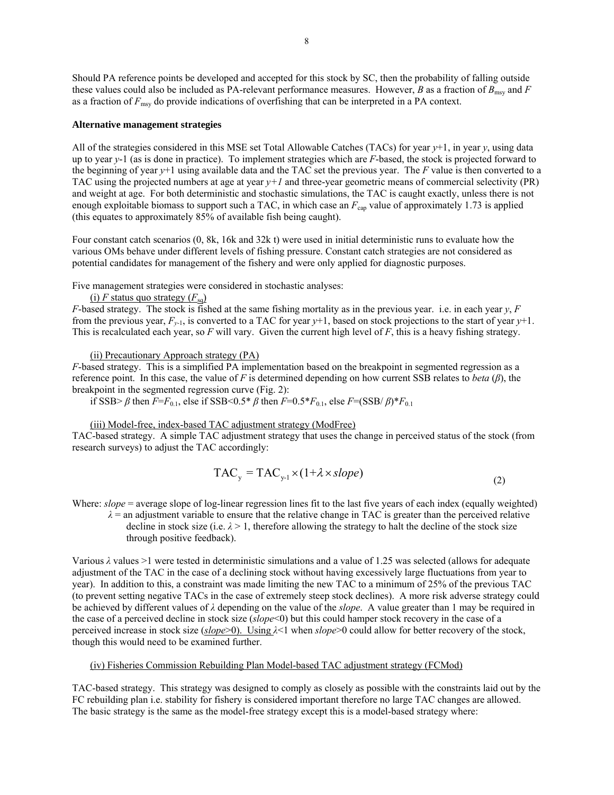Should PA reference points be developed and accepted for this stock by SC, then the probability of falling outside these values could also be included as PA-relevant performance measures. However, *B* as a fraction of  $B_{\text{msv}}$  and *F* as a fraction of *F*msy do provide indications of overfishing that can be interpreted in a PA context.

#### **Alternative management strategies**

All of the strategies considered in this MSE set Total Allowable Catches (TACs) for year *y*+1, in year *y*, using data up to year *y*-1 (as is done in practice). To implement strategies which are *F*-based, the stock is projected forward to the beginning of year *y*+1 using available data and the TAC set the previous year. The *F* value is then converted to a TAC using the projected numbers at age at year *y+1* and three-year geometric means of commercial selectivity (PR) and weight at age. For both deterministic and stochastic simulations, the TAC is caught exactly, unless there is not enough exploitable biomass to support such a TAC, in which case an  $F_{\text{can}}$  value of approximately 1.73 is applied (this equates to approximately 85% of available fish being caught).

Four constant catch scenarios (0, 8k, 16k and 32k t) were used in initial deterministic runs to evaluate how the various OMs behave under different levels of fishing pressure. Constant catch strategies are not considered as potential candidates for management of the fishery and were only applied for diagnostic purposes.

Five management strategies were considered in stochastic analyses:

(i) *F* status quo strategy  $(F_{sq})$ 

*F*-based strategy. The stock is fished at the same fishing mortality as in the previous year. i.e. in each year *y*, *F* from the previous year,  $F_{y-1}$ , is converted to a TAC for year  $y+1$ , based on stock projections to the start of year  $y+1$ . This is recalculated each year, so *F* will vary. Given the current high level of *F*, this is a heavy fishing strategy.

(ii) Precautionary Approach strategy (PA)

*F*-based strategy. This is a simplified PA implementation based on the breakpoint in segmented regression as a reference point. In this case, the value of *F* is determined depending on how current SSB relates to *beta* (*β*), the breakpoint in the segmented regression curve (Fig. 2):

if SSB> *β* then *F*=*F*<sub>0.1</sub>, else if SSB<0.5<sup>\*</sup> *β* then *F*=0.5<sup>\*</sup>*F*<sub>0.1</sub>, else *F*=(SSB/ *β*)<sup>\*</sup>*F*<sub>0.1</sub>

#### (iii) Model-free, index-based TAC adjustment strategy (ModFree)

TAC-based strategy. A simple TAC adjustment strategy that uses the change in perceived status of the stock (from research surveys) to adjust the TAC accordingly:

$$
TAC_y = TAC_{y-1} \times (1 + \lambda \times slope) \tag{2}
$$

Where: *slope* = average slope of log-linear regression lines fit to the last five years of each index (equally weighted)

 $\lambda$  = an adjustment variable to ensure that the relative change in TAC is greater than the perceived relative decline in stock size (i.e.  $\lambda > 1$ , therefore allowing the strategy to halt the decline of the stock size through positive feedback).

Various *λ* values >1 were tested in deterministic simulations and a value of 1.25 was selected (allows for adequate adjustment of the TAC in the case of a declining stock without having excessively large fluctuations from year to year). In addition to this, a constraint was made limiting the new TAC to a minimum of 25% of the previous TAC (to prevent setting negative TACs in the case of extremely steep stock declines). A more risk adverse strategy could be achieved by different values of *λ* depending on the value of the *slope*. A value greater than 1 may be required in the case of a perceived decline in stock size (*slope*<0) but this could hamper stock recovery in the case of a perceived increase in stock size (*slope*>0). Using *λ*<1 when *slope*>0 could allow for better recovery of the stock, though this would need to be examined further.

#### (iv) Fisheries Commission Rebuilding Plan Model-based TAC adjustment strategy (FCMod)

TAC-based strategy. This strategy was designed to comply as closely as possible with the constraints laid out by the FC rebuilding plan i.e. stability for fishery is considered important therefore no large TAC changes are allowed. The basic strategy is the same as the model-free strategy except this is a model-based strategy where: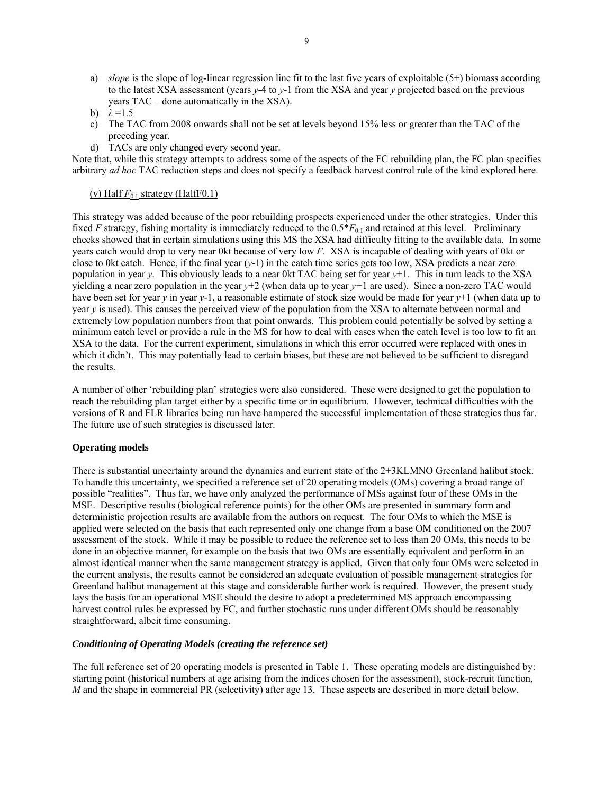a) *slope* is the slope of log-linear regression line fit to the last five years of exploitable (5+) biomass according to the latest XSA assessment (years *y*-4 to *y*-1 from the XSA and year *y* projected based on the previous years TAC – done automatically in the XSA).

- c) The TAC from 2008 onwards shall not be set at levels beyond 15% less or greater than the TAC of the preceding year.
- d) TACs are only changed every second year.

Note that, while this strategy attempts to address some of the aspects of the FC rebuilding plan, the FC plan specifies arbitrary *ad hoc* TAC reduction steps and does not specify a feedback harvest control rule of the kind explored here.

#### (v) Half  $F_{0.1}$  strategy (HalfF0.1)

This strategy was added because of the poor rebuilding prospects experienced under the other strategies. Under this fixed *F* strategy, fishing mortality is immediately reduced to the  $0.5*F_{0.1}$  and retained at this level. Preliminary checks showed that in certain simulations using this MS the XSA had difficulty fitting to the available data. In some years catch would drop to very near 0kt because of very low *F*. XSA is incapable of dealing with years of 0kt or close to 0kt catch. Hence, if the final year (*y*-1) in the catch time series gets too low, XSA predicts a near zero population in year *y*. This obviously leads to a near 0kt TAC being set for year *y*+1. This in turn leads to the XSA yielding a near zero population in the year *y*+2 (when data up to year *y+*1 are used). Since a non-zero TAC would have been set for year *y* in year *y*-1, a reasonable estimate of stock size would be made for year *y*+1 (when data up to year *y* is used). This causes the perceived view of the population from the XSA to alternate between normal and extremely low population numbers from that point onwards. This problem could potentially be solved by setting a minimum catch level or provide a rule in the MS for how to deal with cases when the catch level is too low to fit an XSA to the data. For the current experiment, simulations in which this error occurred were replaced with ones in which it didn't. This may potentially lead to certain biases, but these are not believed to be sufficient to disregard the results.

A number of other 'rebuilding plan' strategies were also considered. These were designed to get the population to reach the rebuilding plan target either by a specific time or in equilibrium. However, technical difficulties with the versions of R and FLR libraries being run have hampered the successful implementation of these strategies thus far. The future use of such strategies is discussed later.

### **Operating models**

There is substantial uncertainty around the dynamics and current state of the 2+3KLMNO Greenland halibut stock. To handle this uncertainty, we specified a reference set of 20 operating models (OMs) covering a broad range of possible "realities". Thus far, we have only analyzed the performance of MSs against four of these OMs in the MSE. Descriptive results (biological reference points) for the other OMs are presented in summary form and deterministic projection results are available from the authors on request. The four OMs to which the MSE is applied were selected on the basis that each represented only one change from a base OM conditioned on the 2007 assessment of the stock. While it may be possible to reduce the reference set to less than 20 OMs, this needs to be done in an objective manner, for example on the basis that two OMs are essentially equivalent and perform in an almost identical manner when the same management strategy is applied. Given that only four OMs were selected in the current analysis, the results cannot be considered an adequate evaluation of possible management strategies for Greenland halibut management at this stage and considerable further work is required. However, the present study lays the basis for an operational MSE should the desire to adopt a predetermined MS approach encompassing harvest control rules be expressed by FC, and further stochastic runs under different OMs should be reasonably straightforward, albeit time consuming.

#### *Conditioning of Operating Models (creating the reference set)*

The full reference set of 20 operating models is presented in Table 1. These operating models are distinguished by: starting point (historical numbers at age arising from the indices chosen for the assessment), stock-recruit function, *M* and the shape in commercial PR (selectivity) after age 13. These aspects are described in more detail below.

b)  $\lambda = 1.5$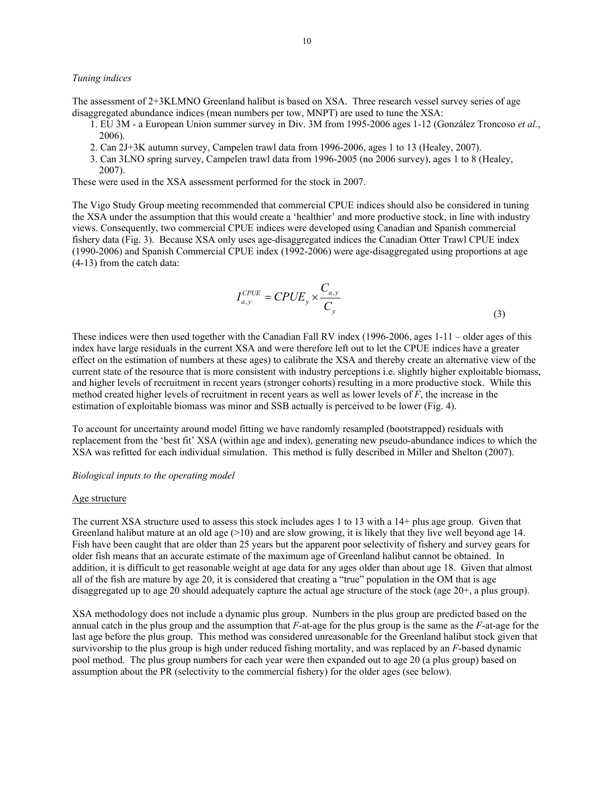#### *Tuning indices*

The assessment of 2+3KLMNO Greenland halibut is based on XSA. Three research vessel survey series of age disaggregated abundance indices (mean numbers per tow, MNPT) are used to tune the XSA:

- 1. EU 3M a European Union summer survey in Div. 3M from 1995-2006 ages 1-12 (González Troncoso *et al.*, 2006).
- 2. Can 2J+3K autumn survey, Campelen trawl data from 1996-2006, ages 1 to 13 (Healey, 2007).
- 3. Can 3LNO spring survey, Campelen trawl data from 1996-2005 (no 2006 survey), ages 1 to 8 (Healey, 2007).

These were used in the XSA assessment performed for the stock in 2007.

The Vigo Study Group meeting recommended that commercial CPUE indices should also be considered in tuning the XSA under the assumption that this would create a 'healthier' and more productive stock, in line with industry views. Consequently, two commercial CPUE indices were developed using Canadian and Spanish commercial fishery data (Fig. 3). Because XSA only uses age-disaggregated indices the Canadian Otter Trawl CPUE index (1990-2006) and Spanish Commercial CPUE index (1992-2006) were age-disaggregated using proportions at age (4-13) from the catch data:

$$
I_{a,y}^{CPUE} = CPUE_y \times \frac{C_{a,y}}{C_y}
$$
\n(3)

These indices were then used together with the Canadian Fall RV index (1996-2006, ages 1-11 – older ages of this index have large residuals in the current XSA and were therefore left out to let the CPUE indices have a greater effect on the estimation of numbers at these ages) to calibrate the XSA and thereby create an alternative view of the current state of the resource that is more consistent with industry perceptions i.e. slightly higher exploitable biomass, and higher levels of recruitment in recent years (stronger cohorts) resulting in a more productive stock. While this method created higher levels of recruitment in recent years as well as lower levels of *F*, the increase in the estimation of exploitable biomass was minor and SSB actually is perceived to be lower (Fig. 4).

To account for uncertainty around model fitting we have randomly resampled (bootstrapped) residuals with replacement from the 'best fit' XSA (within age and index), generating new pseudo-abundance indices to which the XSA was refitted for each individual simulation. This method is fully described in Miller and Shelton (2007).

#### *Biological inputs to the operating model*

#### Age structure

The current XSA structure used to assess this stock includes ages 1 to 13 with a 14+ plus age group. Given that Greenland halibut mature at an old age  $(>10)$  and are slow growing, it is likely that they live well beyond age 14. Fish have been caught that are older than 25 years but the apparent poor selectivity of fishery and survey gears for older fish means that an accurate estimate of the maximum age of Greenland halibut cannot be obtained. In addition, it is difficult to get reasonable weight at age data for any ages older than about age 18. Given that almost all of the fish are mature by age 20, it is considered that creating a "true" population in the OM that is age disaggregated up to age 20 should adequately capture the actual age structure of the stock (age 20+, a plus group).

XSA methodology does not include a dynamic plus group. Numbers in the plus group are predicted based on the annual catch in the plus group and the assumption that *F*-at-age for the plus group is the same as the *F*-at-age for the last age before the plus group. This method was considered unreasonable for the Greenland halibut stock given that survivorship to the plus group is high under reduced fishing mortality, and was replaced by an *F*-based dynamic pool method. The plus group numbers for each year were then expanded out to age 20 (a plus group) based on assumption about the PR (selectivity to the commercial fishery) for the older ages (see below).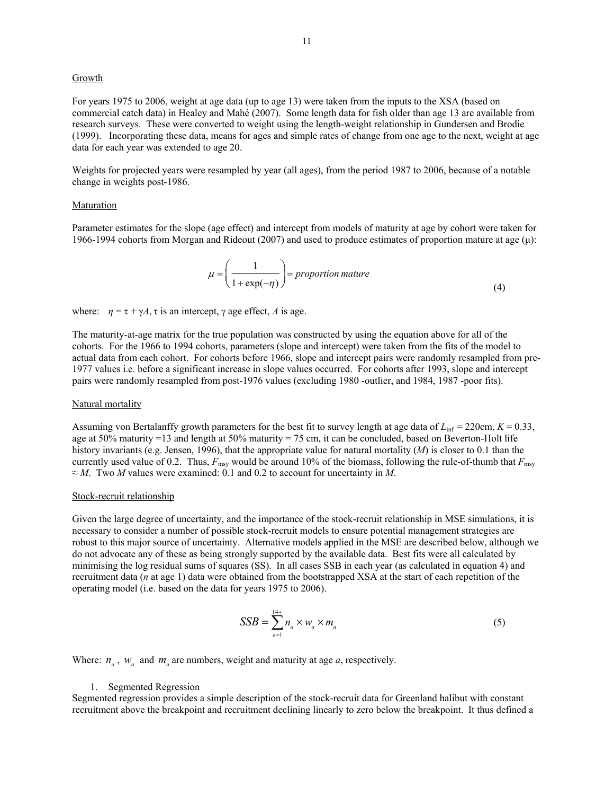#### **Growth**

For years 1975 to 2006, weight at age data (up to age 13) were taken from the inputs to the XSA (based on commercial catch data) in Healey and Mahé (2007). Some length data for fish older than age 13 are available from research surveys. These were converted to weight using the length-weight relationship in Gundersen and Brodie (1999). Incorporating these data, means for ages and simple rates of change from one age to the next, weight at age data for each year was extended to age 20.

Weights for projected years were resampled by year (all ages), from the period 1987 to 2006, because of a notable change in weights post-1986.

#### Maturation

Parameter estimates for the slope (age effect) and intercept from models of maturity at age by cohort were taken for 1966-1994 cohorts from Morgan and Rideout (2007) and used to produce estimates of proportion mature at age (μ):

$$
\mu = \left(\frac{1}{1 + \exp(-\eta)}\right) = proportion \text{ mature}
$$
\n(4)

where:  $\eta = \tau + \gamma A$ ,  $\tau$  is an intercept,  $\gamma$  age effect, A is age.

The maturity-at-age matrix for the true population was constructed by using the equation above for all of the cohorts. For the 1966 to 1994 cohorts, parameters (slope and intercept) were taken from the fits of the model to actual data from each cohort. For cohorts before 1966, slope and intercept pairs were randomly resampled from pre-1977 values i.e. before a significant increase in slope values occurred. For cohorts after 1993, slope and intercept pairs were randomly resampled from post-1976 values (excluding 1980 -outlier, and 1984, 1987 -poor fits).

#### Natural mortality

Assuming von Bertalanffy growth parameters for the best fit to survey length at age data of  $L_{\text{inf}} = 220 \text{cm}, K = 0.33$ , age at 50% maturity =13 and length at 50% maturity = 75 cm, it can be concluded, based on Beverton-Holt life history invariants (e.g. Jensen, 1996), that the appropriate value for natural mortality (*M*) is closer to 0.1 than the currently used value of 0.2. Thus,  $F_{\text{msy}}$  would be around 10% of the biomass, following the rule-of-thumb that  $F_{\text{msy}}$ ≈ *M*. Two *M* values were examined: 0.1 and 0.2 to account for uncertainty in *M*.

#### Stock-recruit relationship

Given the large degree of uncertainty, and the importance of the stock-recruit relationship in MSE simulations, it is necessary to consider a number of possible stock-recruit models to ensure potential management strategies are robust to this major source of uncertainty. Alternative models applied in the MSE are described below, although we do not advocate any of these as being strongly supported by the available data. Best fits were all calculated by minimising the log residual sums of squares (SS). In all cases SSB in each year (as calculated in equation 4) and recruitment data (*n* at age 1) data were obtained from the bootstrapped XSA at the start of each repetition of the operating model (i.e. based on the data for years 1975 to 2006).

$$
SSB = \sum_{a=1}^{14+} n_a \times w_a \times m_a \tag{5}
$$

Where:  $n_a$ ,  $w_a$  and  $m_a$  are numbers, weight and maturity at age  $a$ , respectively.

#### 1. Segmented Regression

Segmented regression provides a simple description of the stock-recruit data for Greenland halibut with constant recruitment above the breakpoint and recruitment declining linearly to zero below the breakpoint. It thus defined a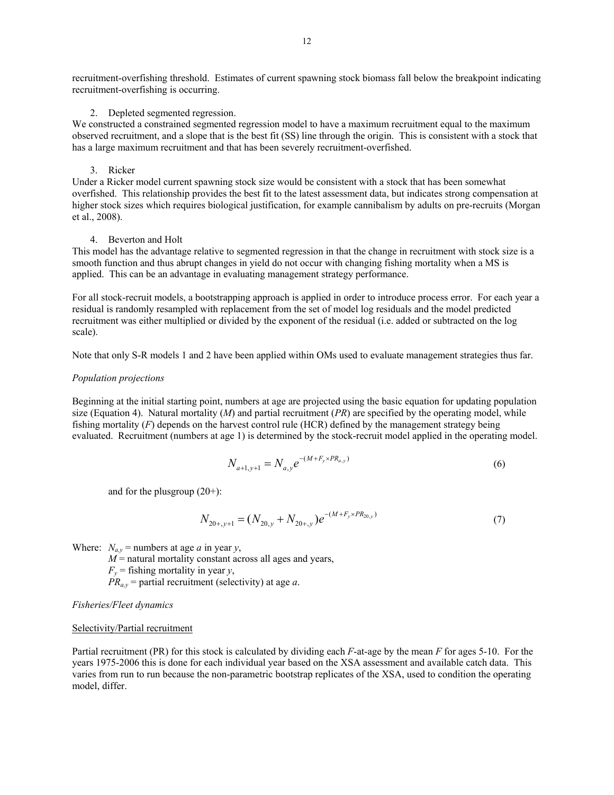recruitment-overfishing threshold. Estimates of current spawning stock biomass fall below the breakpoint indicating recruitment-overfishing is occurring.

#### 2. Depleted segmented regression.

We constructed a constrained segmented regression model to have a maximum recruitment equal to the maximum observed recruitment, and a slope that is the best fit (SS) line through the origin. This is consistent with a stock that has a large maximum recruitment and that has been severely recruitment-overfished.

#### 3. Ricker

Under a Ricker model current spawning stock size would be consistent with a stock that has been somewhat overfished. This relationship provides the best fit to the latest assessment data, but indicates strong compensation at higher stock sizes which requires biological justification, for example cannibalism by adults on pre-recruits (Morgan et al., 2008).

#### 4. Beverton and Holt

This model has the advantage relative to segmented regression in that the change in recruitment with stock size is a smooth function and thus abrupt changes in yield do not occur with changing fishing mortality when a MS is applied. This can be an advantage in evaluating management strategy performance.

For all stock-recruit models, a bootstrapping approach is applied in order to introduce process error. For each year a residual is randomly resampled with replacement from the set of model log residuals and the model predicted recruitment was either multiplied or divided by the exponent of the residual (i.e. added or subtracted on the log scale).

Note that only S-R models 1 and 2 have been applied within OMs used to evaluate management strategies thus far.

#### *Population projections*

Beginning at the initial starting point, numbers at age are projected using the basic equation for updating population size (Equation 4). Natural mortality  $(M)$  and partial recruitment  $(PR)$  are specified by the operating model, while fishing mortality (*F*) depends on the harvest control rule (HCR) defined by the management strategy being evaluated. Recruitment (numbers at age 1) is determined by the stock-recruit model applied in the operating model.

$$
N_{a+1,y+1} = N_{a,y} e^{-(M+F_y \times PR_{a,y})}
$$
\n(6)

and for the plusgroup (20+):

$$
N_{20+,y+1} = (N_{20,y} + N_{20+,y})e^{-(M+F_y \times PR_{20,y})}
$$
\n(7)

Where:  $N_{av}$  = numbers at age *a* in year *y*,

 $M$  = natural mortality constant across all ages and years,

 $F_y$  = fishing mortality in year *y*,

 $PR_{a,y}$  = partial recruitment (selectivity) at age *a*.

#### *Fisheries/Fleet dynamics*

#### Selectivity/Partial recruitment

Partial recruitment (PR) for this stock is calculated by dividing each *F*-at-age by the mean *F* for ages 5-10. For the years 1975-2006 this is done for each individual year based on the XSA assessment and available catch data. This varies from run to run because the non-parametric bootstrap replicates of the XSA, used to condition the operating model, differ.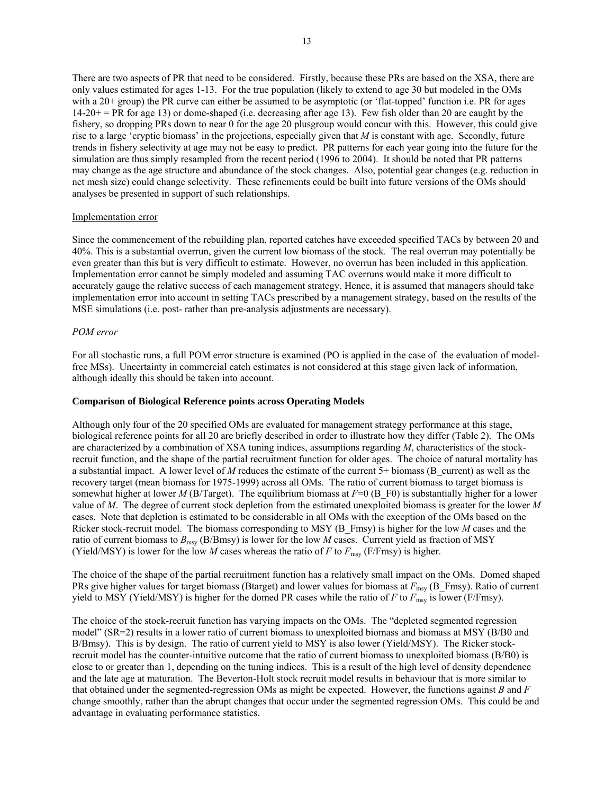There are two aspects of PR that need to be considered. Firstly, because these PRs are based on the XSA, there are only values estimated for ages 1-13. For the true population (likely to extend to age 30 but modeled in the OMs with a 20+ group) the PR curve can either be assumed to be asymptotic (or 'flat-topped' function i.e. PR for ages  $14-20+=PR$  for age 13) or dome-shaped (i.e. decreasing after age 13). Few fish older than 20 are caught by the fishery, so dropping PRs down to near 0 for the age 20 plusgroup would concur with this. However, this could give rise to a large 'cryptic biomass' in the projections, especially given that *M* is constant with age. Secondly, future trends in fishery selectivity at age may not be easy to predict. PR patterns for each year going into the future for the simulation are thus simply resampled from the recent period (1996 to 2004). It should be noted that PR patterns may change as the age structure and abundance of the stock changes. Also, potential gear changes (e.g. reduction in net mesh size) could change selectivity. These refinements could be built into future versions of the OMs should analyses be presented in support of such relationships.

#### Implementation error

Since the commencement of the rebuilding plan, reported catches have exceeded specified TACs by between 20 and 40%. This is a substantial overrun, given the current low biomass of the stock. The real overrun may potentially be even greater than this but is very difficult to estimate. However, no overrun has been included in this application. Implementation error cannot be simply modeled and assuming TAC overruns would make it more difficult to accurately gauge the relative success of each management strategy. Hence, it is assumed that managers should take implementation error into account in setting TACs prescribed by a management strategy, based on the results of the MSE simulations (i.e. post- rather than pre-analysis adjustments are necessary).

#### *POM error*

For all stochastic runs, a full POM error structure is examined (PO is applied in the case of the evaluation of modelfree MSs). Uncertainty in commercial catch estimates is not considered at this stage given lack of information, although ideally this should be taken into account.

#### **Comparison of Biological Reference points across Operating Models**

Although only four of the 20 specified OMs are evaluated for management strategy performance at this stage, biological reference points for all 20 are briefly described in order to illustrate how they differ (Table 2). The OMs are characterized by a combination of XSA tuning indices, assumptions regarding *M*, characteristics of the stockrecruit function, and the shape of the partial recruitment function for older ages. The choice of natural mortality has a substantial impact. A lower level of *M* reduces the estimate of the current 5+ biomass (B\_current) as well as the recovery target (mean biomass for 1975-1999) across all OMs. The ratio of current biomass to target biomass is somewhat higher at lower *M* (B/Target). The equilibrium biomass at  $F=0$  (B\_F0) is substantially higher for a lower value of *M*. The degree of current stock depletion from the estimated unexploited biomass is greater for the lower *M* cases. Note that depletion is estimated to be considerable in all OMs with the exception of the OMs based on the Ricker stock-recruit model. The biomass corresponding to MSY (B\_Fmsy) is higher for the low *M* cases and the ratio of current biomass to  $B_{\text{msy}}$  (B/Bmsy) is lower for the low *M* cases. Current yield as fraction of MSY (Yield/MSY) is lower for the low *M* cases whereas the ratio of *F* to  $F_{\text{msy}}$  (F/Fmsy) is higher.

The choice of the shape of the partial recruitment function has a relatively small impact on the OMs. Domed shaped PRs give higher values for target biomass (Btarget) and lower values for biomass at  $F_{\text{msy}}$  (B\_Fmsy). Ratio of current yield to MSY (Yield/MSY) is higher for the domed PR cases while the ratio of *F* to  $F_{\text{msy}}$  is lower (F/Fmsy).

The choice of the stock-recruit function has varying impacts on the OMs. The "depleted segmented regression model" (SR=2) results in a lower ratio of current biomass to unexploited biomass and biomass at MSY (B/B0 and B/Bmsy). This is by design. The ratio of current yield to MSY is also lower (Yield/MSY). The Ricker stockrecruit model has the counter-intuitive outcome that the ratio of current biomass to unexploited biomass (B/B0) is close to or greater than 1, depending on the tuning indices. This is a result of the high level of density dependence and the late age at maturation. The Beverton-Holt stock recruit model results in behaviour that is more similar to that obtained under the segmented-regression OMs as might be expected. However, the functions against *B* and *F* change smoothly, rather than the abrupt changes that occur under the segmented regression OMs. This could be and advantage in evaluating performance statistics.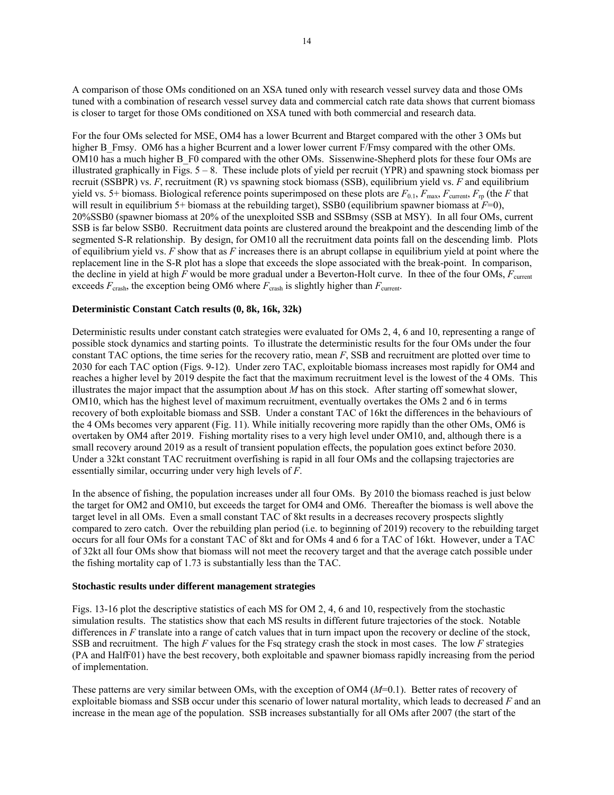A comparison of those OMs conditioned on an XSA tuned only with research vessel survey data and those OMs tuned with a combination of research vessel survey data and commercial catch rate data shows that current biomass is closer to target for those OMs conditioned on XSA tuned with both commercial and research data.

For the four OMs selected for MSE, OM4 has a lower Bcurrent and Btarget compared with the other 3 OMs but higher B Fmsy. OM6 has a higher Bcurrent and a lower lower current F/Fmsy compared with the other OMs. OM10 has a much higher B\_F0 compared with the other OMs. Sissenwine-Shepherd plots for these four OMs are illustrated graphically in Figs. 5 – 8. These include plots of yield per recruit (YPR) and spawning stock biomass per recruit (SSBPR) vs. *F*, recruitment (R) vs spawning stock biomass (SSB), equilibrium yield vs. *F* and equilibrium yield vs. 5+ biomass. Biological reference points superimposed on these plots are  $F_{0.1}$ ,  $F_{\text{max}}$ ,  $F_{\text{current}}$ ,  $F_{\text{rp}}$  (the *F* that will result in equilibrium 5+ biomass at the rebuilding target), SSB0 (equilibrium spawner biomass at  $\overline{F}=0$ ), 20%SSB0 (spawner biomass at 20% of the unexploited SSB and SSBmsy (SSB at MSY). In all four OMs, current SSB is far below SSB0. Recruitment data points are clustered around the breakpoint and the descending limb of the segmented S-R relationship. By design, for OM10 all the recruitment data points fall on the descending limb. Plots of equilibrium yield vs. *F* show that as *F* increases there is an abrupt collapse in equilibrium yield at point where the replacement line in the S-R plot has a slope that exceeds the slope associated with the break-point. In comparison, the decline in yield at high *F* would be more gradual under a Beverton-Holt curve. In thee of the four OMs, *F*current exceeds  $F_{\text{crash}}$ , the exception being OM6 where  $F_{\text{crash}}$  is slightly higher than  $F_{\text{current}}$ .

#### **Deterministic Constant Catch results (0, 8k, 16k, 32k)**

Deterministic results under constant catch strategies were evaluated for OMs 2, 4, 6 and 10, representing a range of possible stock dynamics and starting points. To illustrate the deterministic results for the four OMs under the four constant TAC options, the time series for the recovery ratio, mean *F*, SSB and recruitment are plotted over time to 2030 for each TAC option (Figs. 9-12). Under zero TAC, exploitable biomass increases most rapidly for OM4 and reaches a higher level by 2019 despite the fact that the maximum recruitment level is the lowest of the 4 OMs. This illustrates the major impact that the assumption about *M* has on this stock. After starting off somewhat slower, OM10, which has the highest level of maximum recruitment, eventually overtakes the OMs 2 and 6 in terms recovery of both exploitable biomass and SSB. Under a constant TAC of 16kt the differences in the behaviours of the 4 OMs becomes very apparent (Fig. 11). While initially recovering more rapidly than the other OMs, OM6 is overtaken by OM4 after 2019. Fishing mortality rises to a very high level under OM10, and, although there is a small recovery around 2019 as a result of transient population effects, the population goes extinct before 2030. Under a 32kt constant TAC recruitment overfishing is rapid in all four OMs and the collapsing trajectories are essentially similar, occurring under very high levels of *F*.

In the absence of fishing, the population increases under all four OMs. By 2010 the biomass reached is just below the target for OM2 and OM10, but exceeds the target for OM4 and OM6. Thereafter the biomass is well above the target level in all OMs. Even a small constant TAC of 8kt results in a decreases recovery prospects slightly compared to zero catch. Over the rebuilding plan period (i.e. to beginning of 2019) recovery to the rebuilding target occurs for all four OMs for a constant TAC of 8kt and for OMs 4 and 6 for a TAC of 16kt. However, under a TAC of 32kt all four OMs show that biomass will not meet the recovery target and that the average catch possible under the fishing mortality cap of 1.73 is substantially less than the TAC.

#### **Stochastic results under different management strategies**

Figs. 13-16 plot the descriptive statistics of each MS for OM 2, 4, 6 and 10, respectively from the stochastic simulation results. The statistics show that each MS results in different future trajectories of the stock. Notable differences in *F* translate into a range of catch values that in turn impact upon the recovery or decline of the stock, SSB and recruitment. The high *F* values for the Fsq strategy crash the stock in most cases. The low *F* strategies (PA and HalfF01) have the best recovery, both exploitable and spawner biomass rapidly increasing from the period of implementation.

These patterns are very similar between OMs, with the exception of OM4 (*M*=0.1). Better rates of recovery of exploitable biomass and SSB occur under this scenario of lower natural mortality, which leads to decreased *F* and an increase in the mean age of the population. SSB increases substantially for all OMs after 2007 (the start of the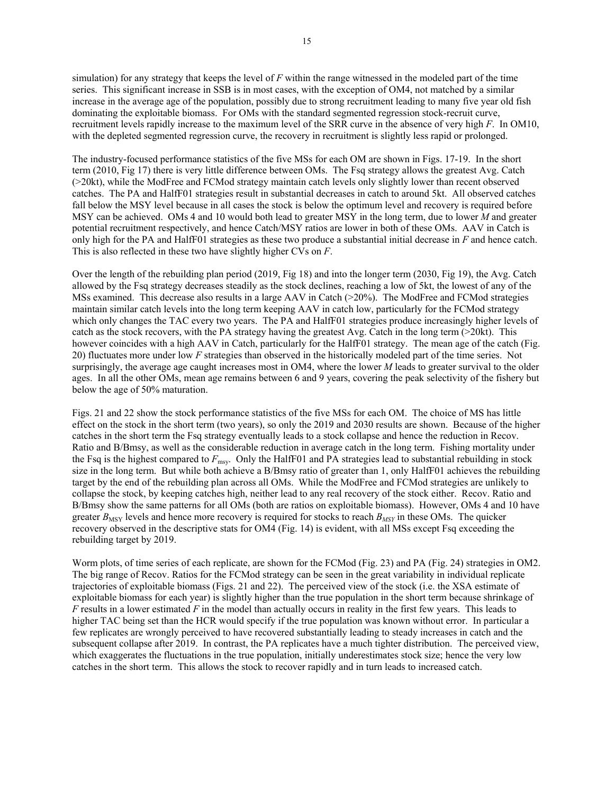simulation) for any strategy that keeps the level of *F* within the range witnessed in the modeled part of the time series. This significant increase in SSB is in most cases, with the exception of OM4, not matched by a similar increase in the average age of the population, possibly due to strong recruitment leading to many five year old fish dominating the exploitable biomass. For OMs with the standard segmented regression stock-recruit curve, recruitment levels rapidly increase to the maximum level of the SRR curve in the absence of very high *F*. In OM10, with the depleted segmented regression curve, the recovery in recruitment is slightly less rapid or prolonged.

The industry-focused performance statistics of the five MSs for each OM are shown in Figs. 17-19. In the short term (2010, Fig 17) there is very little difference between OMs. The Fsq strategy allows the greatest Avg. Catch (>20kt), while the ModFree and FCMod strategy maintain catch levels only slightly lower than recent observed catches. The PA and HalfF01 strategies result in substantial decreases in catch to around 5kt. All observed catches fall below the MSY level because in all cases the stock is below the optimum level and recovery is required before MSY can be achieved. OMs 4 and 10 would both lead to greater MSY in the long term, due to lower *M* and greater potential recruitment respectively, and hence Catch/MSY ratios are lower in both of these OMs. AAV in Catch is only high for the PA and HalfF01 strategies as these two produce a substantial initial decrease in *F* and hence catch. This is also reflected in these two have slightly higher CVs on *F*.

Over the length of the rebuilding plan period (2019, Fig 18) and into the longer term (2030, Fig 19), the Avg. Catch allowed by the Fsq strategy decreases steadily as the stock declines, reaching a low of 5kt, the lowest of any of the MSs examined. This decrease also results in a large AAV in Catch (>20%). The ModFree and FCMod strategies maintain similar catch levels into the long term keeping AAV in catch low, particularly for the FCMod strategy which only changes the TAC every two years. The PA and HalfF01 strategies produce increasingly higher levels of catch as the stock recovers, with the PA strategy having the greatest Avg. Catch in the long term  $(>20kt)$ . This however coincides with a high AAV in Catch, particularly for the HalfF01 strategy. The mean age of the catch (Fig. 20) fluctuates more under low *F* strategies than observed in the historically modeled part of the time series. Not surprisingly, the average age caught increases most in OM4, where the lower *M* leads to greater survival to the older ages. In all the other OMs, mean age remains between 6 and 9 years, covering the peak selectivity of the fishery but below the age of 50% maturation.

Figs. 21 and 22 show the stock performance statistics of the five MSs for each OM. The choice of MS has little effect on the stock in the short term (two years), so only the 2019 and 2030 results are shown. Because of the higher catches in the short term the Fsq strategy eventually leads to a stock collapse and hence the reduction in Recov. Ratio and B/Bmsy, as well as the considerable reduction in average catch in the long term. Fishing mortality under the Fsq is the highest compared to *F*msy. Only the HalfF01 and PA strategies lead to substantial rebuilding in stock size in the long term. But while both achieve a B/Bmsy ratio of greater than 1, only HalfF01 achieves the rebuilding target by the end of the rebuilding plan across all OMs. While the ModFree and FCMod strategies are unlikely to collapse the stock, by keeping catches high, neither lead to any real recovery of the stock either. Recov. Ratio and B/Bmsy show the same patterns for all OMs (both are ratios on exploitable biomass). However, OMs 4 and 10 have greater  $B_{\text{MSY}}$  levels and hence more recovery is required for stocks to reach  $B_{\text{MSY}}$  in these OMs. The quicker recovery observed in the descriptive stats for OM4 (Fig. 14) is evident, with all MSs except Fsq exceeding the rebuilding target by 2019.

Worm plots, of time series of each replicate, are shown for the FCMod (Fig. 23) and PA (Fig. 24) strategies in OM2. The big range of Recov. Ratios for the FCMod strategy can be seen in the great variability in individual replicate trajectories of exploitable biomass (Figs. 21 and 22). The perceived view of the stock (i.e. the XSA estimate of exploitable biomass for each year) is slightly higher than the true population in the short term because shrinkage of *F* results in a lower estimated *F* in the model than actually occurs in reality in the first few years. This leads to higher TAC being set than the HCR would specify if the true population was known without error. In particular a few replicates are wrongly perceived to have recovered substantially leading to steady increases in catch and the subsequent collapse after 2019. In contrast, the PA replicates have a much tighter distribution. The perceived view, which exaggerates the fluctuations in the true population, initially underestimates stock size; hence the very low catches in the short term. This allows the stock to recover rapidly and in turn leads to increased catch.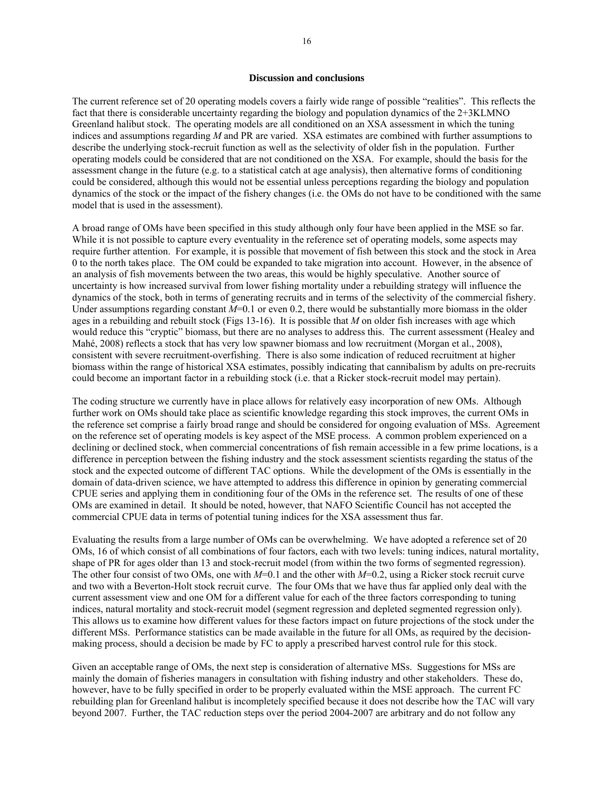#### **Discussion and conclusions**

The current reference set of 20 operating models covers a fairly wide range of possible "realities". This reflects the fact that there is considerable uncertainty regarding the biology and population dynamics of the 2+3KLMNO Greenland halibut stock. The operating models are all conditioned on an XSA assessment in which the tuning indices and assumptions regarding *M* and PR are varied. XSA estimates are combined with further assumptions to describe the underlying stock-recruit function as well as the selectivity of older fish in the population. Further operating models could be considered that are not conditioned on the XSA. For example, should the basis for the assessment change in the future (e.g. to a statistical catch at age analysis), then alternative forms of conditioning could be considered, although this would not be essential unless perceptions regarding the biology and population dynamics of the stock or the impact of the fishery changes (i.e. the OMs do not have to be conditioned with the same model that is used in the assessment).

A broad range of OMs have been specified in this study although only four have been applied in the MSE so far. While it is not possible to capture every eventuality in the reference set of operating models, some aspects may require further attention. For example, it is possible that movement of fish between this stock and the stock in Area 0 to the north takes place. The OM could be expanded to take migration into account. However, in the absence of an analysis of fish movements between the two areas, this would be highly speculative. Another source of uncertainty is how increased survival from lower fishing mortality under a rebuilding strategy will influence the dynamics of the stock, both in terms of generating recruits and in terms of the selectivity of the commercial fishery. Under assumptions regarding constant  $M=0.1$  or even 0.2, there would be substantially more biomass in the older ages in a rebuilding and rebuilt stock (Figs 13-16). It is possible that *M* on older fish increases with age which would reduce this "cryptic" biomass, but there are no analyses to address this. The current assessment (Healey and Mahé, 2008) reflects a stock that has very low spawner biomass and low recruitment (Morgan et al., 2008), consistent with severe recruitment-overfishing. There is also some indication of reduced recruitment at higher biomass within the range of historical XSA estimates, possibly indicating that cannibalism by adults on pre-recruits could become an important factor in a rebuilding stock (i.e. that a Ricker stock-recruit model may pertain).

The coding structure we currently have in place allows for relatively easy incorporation of new OMs. Although further work on OMs should take place as scientific knowledge regarding this stock improves, the current OMs in the reference set comprise a fairly broad range and should be considered for ongoing evaluation of MSs. Agreement on the reference set of operating models is key aspect of the MSE process. A common problem experienced on a declining or declined stock, when commercial concentrations of fish remain accessible in a few prime locations, is a difference in perception between the fishing industry and the stock assessment scientists regarding the status of the stock and the expected outcome of different TAC options. While the development of the OMs is essentially in the domain of data-driven science, we have attempted to address this difference in opinion by generating commercial CPUE series and applying them in conditioning four of the OMs in the reference set. The results of one of these OMs are examined in detail. It should be noted, however, that NAFO Scientific Council has not accepted the commercial CPUE data in terms of potential tuning indices for the XSA assessment thus far.

Evaluating the results from a large number of OMs can be overwhelming. We have adopted a reference set of 20 OMs, 16 of which consist of all combinations of four factors, each with two levels: tuning indices, natural mortality, shape of PR for ages older than 13 and stock-recruit model (from within the two forms of segmented regression). The other four consist of two OMs, one with *M*=0.1 and the other with *M*=0.2, using a Ricker stock recruit curve and two with a Beverton-Holt stock recruit curve. The four OMs that we have thus far applied only deal with the current assessment view and one OM for a different value for each of the three factors corresponding to tuning indices, natural mortality and stock-recruit model (segment regression and depleted segmented regression only). This allows us to examine how different values for these factors impact on future projections of the stock under the different MSs. Performance statistics can be made available in the future for all OMs, as required by the decisionmaking process, should a decision be made by FC to apply a prescribed harvest control rule for this stock.

Given an acceptable range of OMs, the next step is consideration of alternative MSs. Suggestions for MSs are mainly the domain of fisheries managers in consultation with fishing industry and other stakeholders. These do, however, have to be fully specified in order to be properly evaluated within the MSE approach. The current FC rebuilding plan for Greenland halibut is incompletely specified because it does not describe how the TAC will vary beyond 2007. Further, the TAC reduction steps over the period 2004-2007 are arbitrary and do not follow any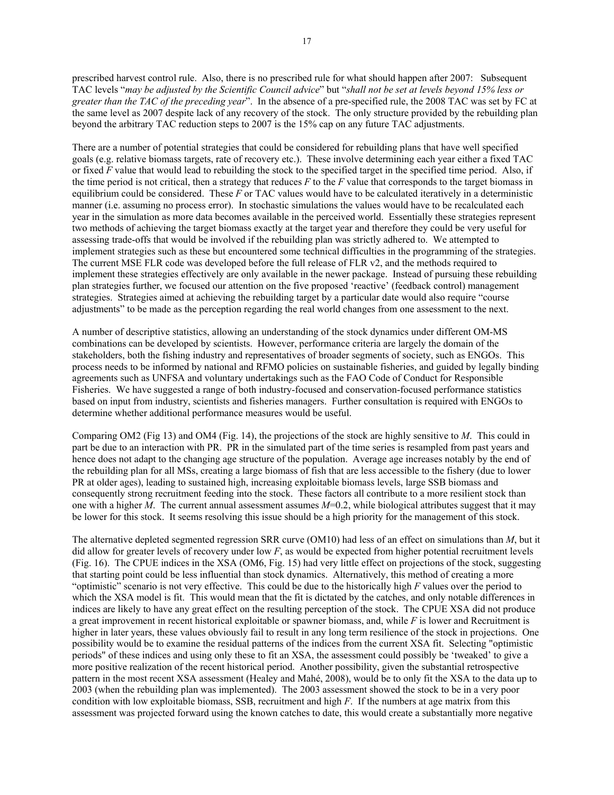prescribed harvest control rule. Also, there is no prescribed rule for what should happen after 2007: Subsequent TAC levels "*may be adjusted by the Scientific Council advice*" but "*shall not be set at levels beyond 15% less or greater than the TAC of the preceding year*". In the absence of a pre-specified rule, the 2008 TAC was set by FC at the same level as 2007 despite lack of any recovery of the stock. The only structure provided by the rebuilding plan beyond the arbitrary TAC reduction steps to 2007 is the 15% cap on any future TAC adjustments.

There are a number of potential strategies that could be considered for rebuilding plans that have well specified goals (e.g. relative biomass targets, rate of recovery etc.). These involve determining each year either a fixed TAC or fixed *F* value that would lead to rebuilding the stock to the specified target in the specified time period. Also, if the time period is not critical, then a strategy that reduces *F* to the *F* value that corresponds to the target biomass in equilibrium could be considered. These *F* or TAC values would have to be calculated iteratively in a deterministic manner (i.e. assuming no process error). In stochastic simulations the values would have to be recalculated each year in the simulation as more data becomes available in the perceived world. Essentially these strategies represent two methods of achieving the target biomass exactly at the target year and therefore they could be very useful for assessing trade-offs that would be involved if the rebuilding plan was strictly adhered to. We attempted to implement strategies such as these but encountered some technical difficulties in the programming of the strategies. The current MSE FLR code was developed before the full release of FLR v2, and the methods required to implement these strategies effectively are only available in the newer package. Instead of pursuing these rebuilding plan strategies further, we focused our attention on the five proposed 'reactive' (feedback control) management strategies. Strategies aimed at achieving the rebuilding target by a particular date would also require "course adjustments" to be made as the perception regarding the real world changes from one assessment to the next.

A number of descriptive statistics, allowing an understanding of the stock dynamics under different OM-MS combinations can be developed by scientists. However, performance criteria are largely the domain of the stakeholders, both the fishing industry and representatives of broader segments of society, such as ENGOs. This process needs to be informed by national and RFMO policies on sustainable fisheries, and guided by legally binding agreements such as UNFSA and voluntary undertakings such as the FAO Code of Conduct for Responsible Fisheries. We have suggested a range of both industry-focused and conservation-focused performance statistics based on input from industry, scientists and fisheries managers. Further consultation is required with ENGOs to determine whether additional performance measures would be useful.

Comparing OM2 (Fig 13) and OM4 (Fig. 14), the projections of the stock are highly sensitive to *M*. This could in part be due to an interaction with PR. PR in the simulated part of the time series is resampled from past years and hence does not adapt to the changing age structure of the population. Average age increases notably by the end of the rebuilding plan for all MSs, creating a large biomass of fish that are less accessible to the fishery (due to lower PR at older ages), leading to sustained high, increasing exploitable biomass levels, large SSB biomass and consequently strong recruitment feeding into the stock. These factors all contribute to a more resilient stock than one with a higher *M*. The current annual assessment assumes *M*=0.2, while biological attributes suggest that it may be lower for this stock. It seems resolving this issue should be a high priority for the management of this stock.

The alternative depleted segmented regression SRR curve (OM10) had less of an effect on simulations than *M*, but it did allow for greater levels of recovery under low *F*, as would be expected from higher potential recruitment levels (Fig. 16). The CPUE indices in the XSA (OM6, Fig. 15) had very little effect on projections of the stock, suggesting that starting point could be less influential than stock dynamics. Alternatively, this method of creating a more "optimistic" scenario is not very effective. This could be due to the historically high *F* values over the period to which the XSA model is fit. This would mean that the fit is dictated by the catches, and only notable differences in indices are likely to have any great effect on the resulting perception of the stock. The CPUE XSA did not produce a great improvement in recent historical exploitable or spawner biomass, and, while *F* is lower and Recruitment is higher in later years, these values obviously fail to result in any long term resilience of the stock in projections. One possibility would be to examine the residual patterns of the indices from the current XSA fit. Selecting "optimistic periods" of these indices and using only these to fit an XSA, the assessment could possibly be 'tweaked' to give a more positive realization of the recent historical period. Another possibility, given the substantial retrospective pattern in the most recent XSA assessment (Healey and Mahé, 2008), would be to only fit the XSA to the data up to 2003 (when the rebuilding plan was implemented). The 2003 assessment showed the stock to be in a very poor condition with low exploitable biomass, SSB, recruitment and high *F*. If the numbers at age matrix from this assessment was projected forward using the known catches to date, this would create a substantially more negative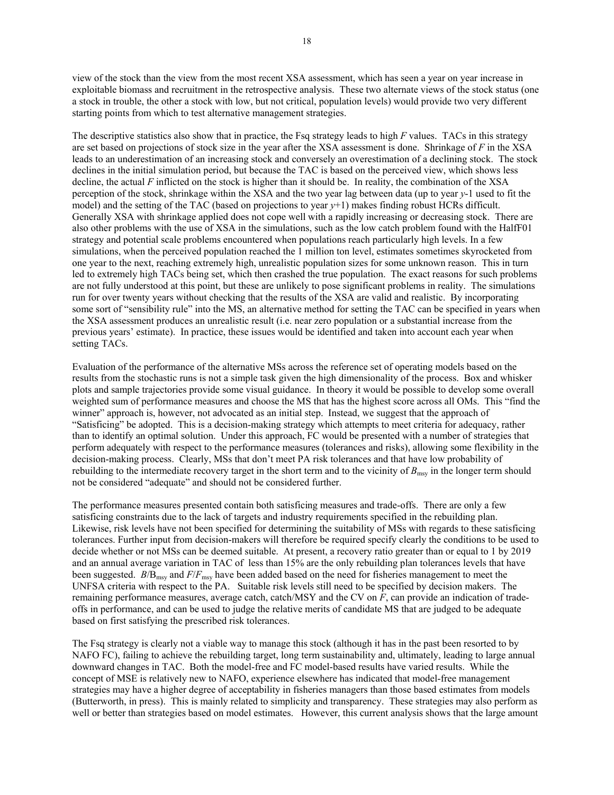view of the stock than the view from the most recent XSA assessment, which has seen a year on year increase in exploitable biomass and recruitment in the retrospective analysis. These two alternate views of the stock status (one a stock in trouble, the other a stock with low, but not critical, population levels) would provide two very different starting points from which to test alternative management strategies.

The descriptive statistics also show that in practice, the Fsq strategy leads to high *F* values. TACs in this strategy are set based on projections of stock size in the year after the XSA assessment is done. Shrinkage of *F* in the XSA leads to an underestimation of an increasing stock and conversely an overestimation of a declining stock. The stock declines in the initial simulation period, but because the TAC is based on the perceived view, which shows less decline, the actual *F* inflicted on the stock is higher than it should be. In reality, the combination of the XSA perception of the stock, shrinkage within the XSA and the two year lag between data (up to year *y*-1 used to fit the model) and the setting of the TAC (based on projections to year *y*+1) makes finding robust HCRs difficult. Generally XSA with shrinkage applied does not cope well with a rapidly increasing or decreasing stock. There are also other problems with the use of XSA in the simulations, such as the low catch problem found with the HalfF01 strategy and potential scale problems encountered when populations reach particularly high levels. In a few simulations, when the perceived population reached the 1 million ton level, estimates sometimes skyrocketed from one year to the next, reaching extremely high, unrealistic population sizes for some unknown reason. This in turn led to extremely high TACs being set, which then crashed the true population. The exact reasons for such problems are not fully understood at this point, but these are unlikely to pose significant problems in reality. The simulations run for over twenty years without checking that the results of the XSA are valid and realistic. By incorporating some sort of "sensibility rule" into the MS, an alternative method for setting the TAC can be specified in years when the XSA assessment produces an unrealistic result (i.e. near zero population or a substantial increase from the previous years' estimate). In practice, these issues would be identified and taken into account each year when setting TACs.

Evaluation of the performance of the alternative MSs across the reference set of operating models based on the results from the stochastic runs is not a simple task given the high dimensionality of the process. Box and whisker plots and sample trajectories provide some visual guidance. In theory it would be possible to develop some overall weighted sum of performance measures and choose the MS that has the highest score across all OMs. This "find the winner" approach is, however, not advocated as an initial step. Instead, we suggest that the approach of "Satisficing" be adopted. This is a decision-making strategy which attempts to meet criteria for adequacy, rather than to identify an optimal solution. Under this approach, FC would be presented with a number of strategies that perform adequately with respect to the performance measures (tolerances and risks), allowing some flexibility in the decision-making process. Clearly, MSs that don't meet PA risk tolerances and that have low probability of rebuilding to the intermediate recovery target in the short term and to the vicinity of  $B_{\text{msy}}$  in the longer term should not be considered "adequate" and should not be considered further.

The performance measures presented contain both satisficing measures and trade-offs. There are only a few satisficing constraints due to the lack of targets and industry requirements specified in the rebuilding plan. Likewise, risk levels have not been specified for determining the suitability of MSs with regards to these satisficing tolerances. Further input from decision-makers will therefore be required specify clearly the conditions to be used to decide whether or not MSs can be deemed suitable. At present, a recovery ratio greater than or equal to 1 by 2019 and an annual average variation in TAC of less than 15% are the only rebuilding plan tolerances levels that have been suggested. *B*/B<sub>msy</sub> and *F/F*<sub>msy</sub> have been added based on the need for fisheries management to meet the UNFSA criteria with respect to the PA. Suitable risk levels still need to be specified by decision makers. The remaining performance measures, average catch, catch/MSY and the CV on *F*, can provide an indication of tradeoffs in performance, and can be used to judge the relative merits of candidate MS that are judged to be adequate based on first satisfying the prescribed risk tolerances.

The Fsq strategy is clearly not a viable way to manage this stock (although it has in the past been resorted to by NAFO FC), failing to achieve the rebuilding target, long term sustainability and, ultimately, leading to large annual downward changes in TAC. Both the model-free and FC model-based results have varied results. While the concept of MSE is relatively new to NAFO, experience elsewhere has indicated that model-free management strategies may have a higher degree of acceptability in fisheries managers than those based estimates from models (Butterworth, in press). This is mainly related to simplicity and transparency. These strategies may also perform as well or better than strategies based on model estimates. However, this current analysis shows that the large amount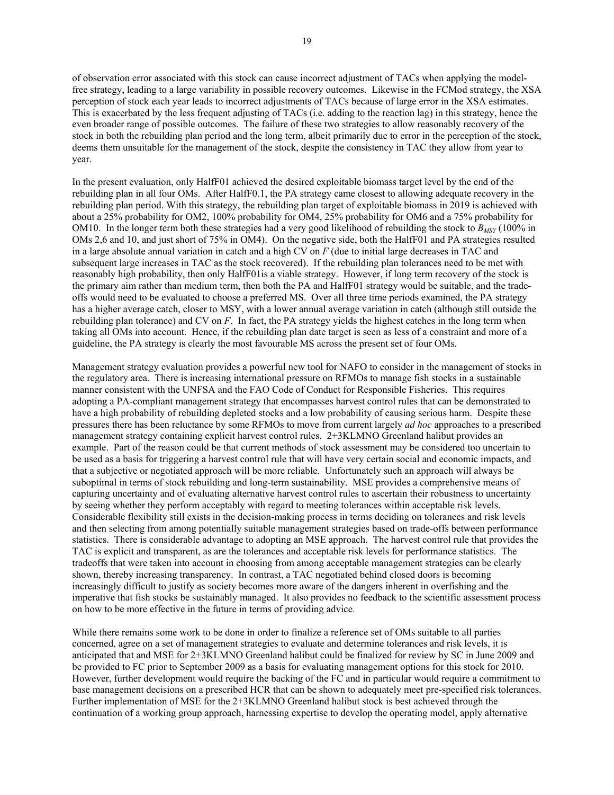of observation error associated with this stock can cause incorrect adjustment of TACs when applying the modelfree strategy, leading to a large variability in possible recovery outcomes. Likewise in the FCMod strategy, the XSA perception of stock each year leads to incorrect adjustments of TACs because of large error in the XSA estimates. This is exacerbated by the less frequent adjusting of TACs (i.e. adding to the reaction lag) in this strategy, hence the even broader range of possible outcomes. The failure of these two strategies to allow reasonably recovery of the stock in both the rebuilding plan period and the long term, albeit primarily due to error in the perception of the stock, deems them unsuitable for the management of the stock, despite the consistency in TAC they allow from year to year.

In the present evaluation, only HalfF01 achieved the desired exploitable biomass target level by the end of the rebuilding plan in all four OMs. After HalfF0.1, the PA strategy came closest to allowing adequate recovery in the rebuilding plan period. With this strategy, the rebuilding plan target of exploitable biomass in 2019 is achieved with about a 25% probability for OM2, 100% probability for OM4, 25% probability for OM6 and a 75% probability for OM10. In the longer term both these strategies had a very good likelihood of rebuilding the stock to  $B_{MST}$  (100% in OMs 2,6 and 10, and just short of 75% in OM4). On the negative side, both the HalfF01 and PA strategies resulted in a large absolute annual variation in catch and a high CV on *F* (due to initial large decreases in TAC and subsequent large increases in TAC as the stock recovered). If the rebuilding plan tolerances need to be met with reasonably high probability, then only HalfF01is a viable strategy. However, if long term recovery of the stock is the primary aim rather than medium term, then both the PA and HalfF01 strategy would be suitable, and the tradeoffs would need to be evaluated to choose a preferred MS. Over all three time periods examined, the PA strategy has a higher average catch, closer to MSY, with a lower annual average variation in catch (although still outside the rebuilding plan tolerance) and CV on *F*. In fact, the PA strategy yields the highest catches in the long term when taking all OMs into account. Hence, if the rebuilding plan date target is seen as less of a constraint and more of a guideline, the PA strategy is clearly the most favourable MS across the present set of four OMs.

Management strategy evaluation provides a powerful new tool for NAFO to consider in the management of stocks in the regulatory area. There is increasing international pressure on RFMOs to manage fish stocks in a sustainable manner consistent with the UNFSA and the FAO Code of Conduct for Responsible Fisheries. This requires adopting a PA-compliant management strategy that encompasses harvest control rules that can be demonstrated to have a high probability of rebuilding depleted stocks and a low probability of causing serious harm. Despite these pressures there has been reluctance by some RFMOs to move from current largely *ad hoc* approaches to a prescribed management strategy containing explicit harvest control rules. 2+3KLMNO Greenland halibut provides an example. Part of the reason could be that current methods of stock assessment may be considered too uncertain to be used as a basis for triggering a harvest control rule that will have very certain social and economic impacts, and that a subjective or negotiated approach will be more reliable. Unfortunately such an approach will always be suboptimal in terms of stock rebuilding and long-term sustainability. MSE provides a comprehensive means of capturing uncertainty and of evaluating alternative harvest control rules to ascertain their robustness to uncertainty by seeing whether they perform acceptably with regard to meeting tolerances within acceptable risk levels. Considerable flexibility still exists in the decision-making process in terms deciding on tolerances and risk levels and then selecting from among potentially suitable management strategies based on trade-offs between performance statistics. There is considerable advantage to adopting an MSE approach. The harvest control rule that provides the TAC is explicit and transparent, as are the tolerances and acceptable risk levels for performance statistics. The tradeoffs that were taken into account in choosing from among acceptable management strategies can be clearly shown, thereby increasing transparency. In contrast, a TAC negotiated behind closed doors is becoming increasingly difficult to justify as society becomes more aware of the dangers inherent in overfishing and the imperative that fish stocks be sustainably managed. It also provides no feedback to the scientific assessment process on how to be more effective in the future in terms of providing advice.

While there remains some work to be done in order to finalize a reference set of OMs suitable to all parties concerned, agree on a set of management strategies to evaluate and determine tolerances and risk levels, it is anticipated that and MSE for 2+3KLMNO Greenland halibut could be finalized for review by SC in June 2009 and be provided to FC prior to September 2009 as a basis for evaluating management options for this stock for 2010. However, further development would require the backing of the FC and in particular would require a commitment to base management decisions on a prescribed HCR that can be shown to adequately meet pre-specified risk tolerances. Further implementation of MSE for the 2+3KLMNO Greenland halibut stock is best achieved through the continuation of a working group approach, harnessing expertise to develop the operating model, apply alternative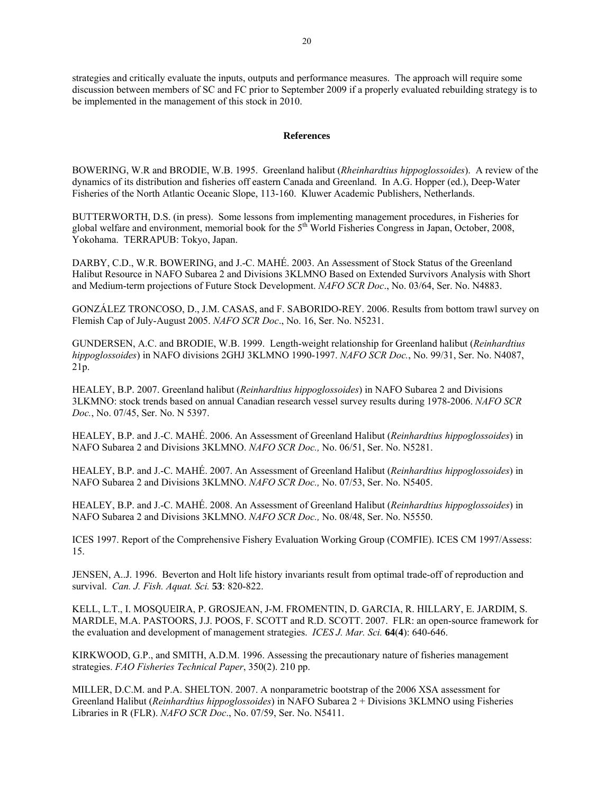strategies and critically evaluate the inputs, outputs and performance measures. The approach will require some discussion between members of SC and FC prior to September 2009 if a properly evaluated rebuilding strategy is to be implemented in the management of this stock in 2010.

#### **References**

BOWERING, W.R and BRODIE, W.B. 1995. Greenland halibut (*Rheinhardtius hippoglossoides*). A review of the dynamics of its distribution and fisheries off eastern Canada and Greenland. In A.G. Hopper (ed.), Deep-Water Fisheries of the North Atlantic Oceanic Slope, 113-160. Kluwer Academic Publishers, Netherlands.

BUTTERWORTH, D.S. (in press). Some lessons from implementing management procedures, in Fisheries for global welfare and environment, memorial book for the 5<sup>th</sup> World Fisheries Congress in Japan, October, 2008, Yokohama. TERRAPUB: Tokyo, Japan.

DARBY, C.D., W.R. BOWERING, and J.-C. MAHÉ. 2003. An Assessment of Stock Status of the Greenland Halibut Resource in NAFO Subarea 2 and Divisions 3KLMNO Based on Extended Survivors Analysis with Short and Medium-term projections of Future Stock Development. *NAFO SCR Doc*., No. 03/64, Ser. No. N4883.

GONZÁLEZ TRONCOSO, D., J.M. CASAS, and F. SABORIDO-REY. 2006. Results from bottom trawl survey on Flemish Cap of July-August 2005. *NAFO SCR Doc*., No. 16, Ser. No. N5231.

GUNDERSEN, A.C. and BRODIE, W.B. 1999. Length-weight relationship for Greenland halibut (*Reinhardtius hippoglossoides*) in NAFO divisions 2GHJ 3KLMNO 1990-1997. *NAFO SCR Doc.*, No. 99/31, Ser. No. N4087, 21p.

HEALEY, B.P. 2007. Greenland halibut (*Reinhardtius hippoglossoides*) in NAFO Subarea 2 and Divisions 3LKMNO: stock trends based on annual Canadian research vessel survey results during 1978-2006. *NAFO SCR Doc.*, No. 07/45, Ser. No. N 5397.

HEALEY, B.P. and J.-C. MAHÉ. 2006. An Assessment of Greenland Halibut (*Reinhardtius hippoglossoides*) in NAFO Subarea 2 and Divisions 3KLMNO. *NAFO SCR Doc.,* No. 06/51, Ser. No. N5281.

HEALEY, B.P. and J.-C. MAHÉ. 2007. An Assessment of Greenland Halibut (*Reinhardtius hippoglossoides*) in NAFO Subarea 2 and Divisions 3KLMNO. *NAFO SCR Doc.,* No. 07/53, Ser. No. N5405.

HEALEY, B.P. and J.-C. MAHÉ. 2008. An Assessment of Greenland Halibut (*Reinhardtius hippoglossoides*) in NAFO Subarea 2 and Divisions 3KLMNO. *NAFO SCR Doc.,* No. 08/48, Ser. No. N5550.

ICES 1997. Report of the Comprehensive Fishery Evaluation Working Group (COMFIE). ICES CM 1997/Assess: 15.

JENSEN, A..J. 1996. Beverton and Holt life history invariants result from optimal trade-off of reproduction and survival. *Can. J. Fish. Aquat. Sci.* **53**: 820-822.

KELL, L.T., I. MOSQUEIRA, P. GROSJEAN, J-M. FROMENTIN, D. GARCIA, R. HILLARY, E. JARDIM, S. MARDLE, M.A. PASTOORS, J.J. POOS, F. SCOTT and R.D. SCOTT. 2007. FLR: an open-source framework for the evaluation and development of management strategies. *ICES J. Mar. Sci.* **64**(**4**): 640-646.

KIRKWOOD, G.P., and SMITH, A.D.M. 1996. Assessing the precautionary nature of fisheries management strategies. *FAO Fisheries Technical Paper*, 350(2). 210 pp.

MILLER, D.C.M. and P.A. SHELTON. 2007. A nonparametric bootstrap of the 2006 XSA assessment for Greenland Halibut (*Reinhardtius hippoglossoides*) in NAFO Subarea 2 + Divisions 3KLMNO using Fisheries Libraries in R (FLR). *NAFO SCR Doc*., No. 07/59, Ser. No. N5411.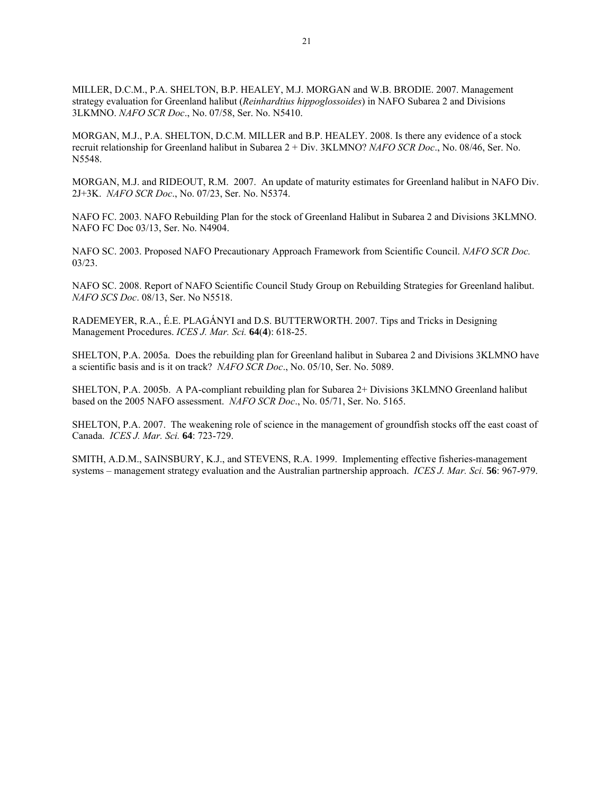MILLER, D.C.M., P.A. SHELTON, B.P. HEALEY, M.J. MORGAN and W.B. BRODIE. 2007. Management strategy evaluation for Greenland halibut (*Reinhardtius hippoglossoides*) in NAFO Subarea 2 and Divisions 3LKMNO. *NAFO SCR Doc*., No. 07/58, Ser. No. N5410.

MORGAN, M.J., P.A. SHELTON, D.C.M. MILLER and B.P. HEALEY. 2008. Is there any evidence of a stock recruit relationship for Greenland halibut in Subarea 2 + Div. 3KLMNO? *NAFO SCR Doc*., No. 08/46, Ser. No. N5548.

MORGAN, M.J. and RIDEOUT, R.M. 2007. An update of maturity estimates for Greenland halibut in NAFO Div. 2J+3K. *NAFO SCR Doc*., No. 07/23, Ser. No. N5374.

NAFO FC. 2003. NAFO Rebuilding Plan for the stock of Greenland Halibut in Subarea 2 and Divisions 3KLMNO. NAFO FC Doc 03/13, Ser. No. N4904.

NAFO SC. 2003. Proposed NAFO Precautionary Approach Framework from Scientific Council. *NAFO SCR Doc.* 03/23.

NAFO SC. 2008. Report of NAFO Scientific Council Study Group on Rebuilding Strategies for Greenland halibut. *NAFO SCS Doc*. 08/13, Ser. No N5518.

RADEMEYER, R.A., É.E. PLAGÁNYI and D.S. BUTTERWORTH. 2007. Tips and Tricks in Designing Management Procedures. *ICES J. Mar. Sci.* **64**(**4**): 618-25.

SHELTON, P.A. 2005a. Does the rebuilding plan for Greenland halibut in Subarea 2 and Divisions 3KLMNO have a scientific basis and is it on track? *NAFO SCR Doc*., No. 05/10, Ser. No. 5089.

SHELTON, P.A. 2005b. A PA-compliant rebuilding plan for Subarea 2+ Divisions 3KLMNO Greenland halibut based on the 2005 NAFO assessment. *NAFO SCR Doc*., No. 05/71, Ser. No. 5165.

SHELTON, P.A. 2007. The weakening role of science in the management of groundfish stocks off the east coast of Canada. *ICES J. Mar. Sci.* **64**: 723-729.

SMITH, A.D.M., SAINSBURY, K.J., and STEVENS, R.A. 1999. Implementing effective fisheries-management systems – management strategy evaluation and the Australian partnership approach. *ICES J. Mar. Sci.* **56**: 967-979.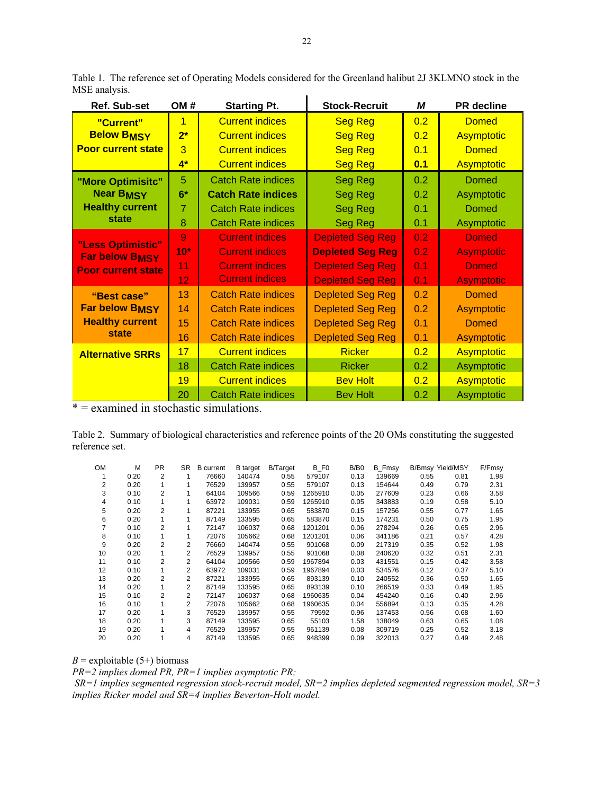|               | Table 1. The reference set of Operating Models considered for the Greenland halibut 2J 3KLMNO stock in the |  |  |  |
|---------------|------------------------------------------------------------------------------------------------------------|--|--|--|
| MSE analysis. |                                                                                                            |  |  |  |
|               |                                                                                                            |  |  |  |

| Ref. Sub-set              | OM#<br><b>Starting Pt.</b> |                           | <b>Stock-Recruit</b>    | М                | <b>PR</b> decline |  |
|---------------------------|----------------------------|---------------------------|-------------------------|------------------|-------------------|--|
| "Current"                 | $\overline{1}$             | <b>Current indices</b>    | <b>Seg Reg</b>          | 0.2              | <b>Domed</b>      |  |
| <b>Below BMSY</b>         | $2^*$                      | <b>Current indices</b>    | <b>Seg Reg</b>          | 0.2              | <b>Asymptotic</b> |  |
| <b>Poor current state</b> | $\overline{3}$             | <b>Current indices</b>    | <b>Seg Reg</b>          | 0.1              | <b>Domed</b>      |  |
|                           | $4*$                       | <b>Current indices</b>    | <b>Seg Reg</b>          | 0.1              | <b>Asymptotic</b> |  |
| "More Optimisitc"         | 5                          | <b>Catch Rate indices</b> | Seg Reg                 | 0.2              | <b>Domed</b>      |  |
| <b>Near BMSY</b>          | $6*$                       | <b>Catch Rate indices</b> | <b>Seg Reg</b>          | 0.2              | Asymptotic        |  |
| <b>Healthy current</b>    | $\overline{7}$             | <b>Catch Rate indices</b> | Seg Reg                 | 0.1              | <b>Domed</b>      |  |
| state                     | 8                          | <b>Catch Rate indices</b> | <b>Seg Reg</b>          | 0.1              | Asymptotic        |  |
| "Less Optimistic"         | $\overline{9}$             | <b>Current indices</b>    | <b>Depleted Seg Reg</b> | 0.2 <sub>0</sub> | <b>Domed</b>      |  |
| <b>Far below BMSY</b>     | $10*$                      | <b>Current indices</b>    | <b>Depleted Seg Reg</b> | 0.2              | <b>Asymptotic</b> |  |
| <b>Poor current state</b> | 11                         | <b>Current indices</b>    | <b>Depleted Seg Reg</b> | 0.1              | <b>Domed</b>      |  |
|                           | 12                         | <b>Current indices</b>    | <b>Depleted Seg Reg</b> | 0.1              | <b>Asymptotic</b> |  |
| "Best case"               | 13                         | <b>Catch Rate indices</b> | <b>Depleted Seg Reg</b> | 0.2              | <b>Domed</b>      |  |
| <b>Far below BMSY</b>     | 14                         | <b>Catch Rate indices</b> | <b>Depleted Seg Reg</b> | 0.2              | <b>Asymptotic</b> |  |
| <b>Healthy current</b>    | 15                         | <b>Catch Rate indices</b> | <b>Depleted Seg Reg</b> | 0.1              | <b>Domed</b>      |  |
| state                     | 16                         | <b>Catch Rate indices</b> | <b>Depleted Seg Reg</b> | 0.1              | Asymptotic        |  |
| <b>Alternative SRRs</b>   | 17                         | <b>Current indices</b>    | <b>Ricker</b>           | 0.2              | <b>Asymptotic</b> |  |
|                           | 18                         | <b>Catch Rate indices</b> | <b>Ricker</b>           | 0.2              | Asymptotic        |  |
|                           | 19                         | <b>Current indices</b>    | <b>Bev Holt</b>         | 0.2              | <b>Asymptotic</b> |  |
|                           | 20                         | <b>Catch Rate indices</b> | <b>Bev Holt</b>         | 0.2              | Asymptotic        |  |

 $* =$  examined in stochastic simulations.

Table 2. Summary of biological characteristics and reference points of the 20 OMs constituting the suggested reference set.

| <b>OM</b>      | м    | <b>PR</b>      | SR             | <b>B</b> current | <b>B</b> target | B/Target | B FO    | B/B <sub>0</sub> | B Fmsy | <b>B/Bmsy Yield/MSY</b> |      | F/Fmsy |
|----------------|------|----------------|----------------|------------------|-----------------|----------|---------|------------------|--------|-------------------------|------|--------|
|                | 0.20 | 2              | 1              | 76660            | 140474          | 0.55     | 579107  | 0.13             | 139669 | 0.55                    | 0.81 | 1.98   |
| $\overline{2}$ | 0.20 |                |                | 76529            | 139957          | 0.55     | 579107  | 0.13             | 154644 | 0.49                    | 0.79 | 2.31   |
| 3              | 0.10 | $\overline{2}$ |                | 64104            | 109566          | 0.59     | 1265910 | 0.05             | 277609 | 0.23                    | 0.66 | 3.58   |
| 4              | 0.10 | 1              |                | 63972            | 109031          | 0.59     | 1265910 | 0.05             | 343883 | 0.19                    | 0.58 | 5.10   |
| 5              | 0.20 | $\overline{2}$ | 1              | 87221            | 133955          | 0.65     | 583870  | 0.15             | 157256 | 0.55                    | 0.77 | 1.65   |
| 6              | 0.20 |                |                | 87149            | 133595          | 0.65     | 583870  | 0.15             | 174231 | 0.50                    | 0.75 | 1.95   |
|                | 0.10 | $\overline{2}$ |                | 72147            | 106037          | 0.68     | 1201201 | 0.06             | 278294 | 0.26                    | 0.65 | 2.96   |
| 8              | 0.10 | 1              |                | 72076            | 105662          | 0.68     | 1201201 | 0.06             | 341186 | 0.21                    | 0.57 | 4.28   |
| 9              | 0.20 | $\overline{2}$ | $\overline{2}$ | 76660            | 140474          | 0.55     | 901068  | 0.09             | 217319 | 0.35                    | 0.52 | 1.98   |
| 10             | 0.20 | 1              | 2              | 76529            | 139957          | 0.55     | 901068  | 0.08             | 240620 | 0.32                    | 0.51 | 2.31   |
| 11             | 0.10 | 2              | $\overline{2}$ | 64104            | 109566          | 0.59     | 1967894 | 0.03             | 431551 | 0.15                    | 0.42 | 3.58   |
| 12             | 0.10 | 1              | 2              | 63972            | 109031          | 0.59     | 1967894 | 0.03             | 534576 | 0.12                    | 0.37 | 5.10   |
| 13             | 0.20 | $\overline{2}$ | $\overline{2}$ | 87221            | 133955          | 0.65     | 893139  | 0.10             | 240552 | 0.36                    | 0.50 | 1.65   |
| 14             | 0.20 | 1              | 2              | 87149            | 133595          | 0.65     | 893139  | 0.10             | 266519 | 0.33                    | 0.49 | 1.95   |
| 15             | 0.10 | 2              | $\overline{2}$ | 72147            | 106037          | 0.68     | 1960635 | 0.04             | 454240 | 0.16                    | 0.40 | 2.96   |
| 16             | 0.10 |                | $\overline{2}$ | 72076            | 105662          | 0.68     | 1960635 | 0.04             | 556894 | 0.13                    | 0.35 | 4.28   |
| 17             | 0.20 |                | 3              | 76529            | 139957          | 0.55     | 79592   | 0.96             | 137453 | 0.56                    | 0.68 | 1.60   |
| 18             | 0.20 |                | 3              | 87149            | 133595          | 0.65     | 55103   | 1.58             | 138049 | 0.63                    | 0.65 | 1.08   |
| 19             | 0.20 |                | 4              | 76529            | 139957          | 0.55     | 961139  | 0.08             | 309719 | 0.25                    | 0.52 | 3.18   |
| 20             | 0.20 |                | 4              | 87149            | 133595          | 0.65     | 948399  | 0.09             | 322013 | 0.27                    | 0.49 | 2.48   |

 $B$  = exploitable (5+) biomass

*PR=2 implies domed PR, PR=1 implies asymptotic PR;* 

 *SR=1 implies segmented regression stock-recruit model, SR=2 implies depleted segmented regression model, SR=3 implies Ricker model and SR=4 implies Beverton-Holt model.*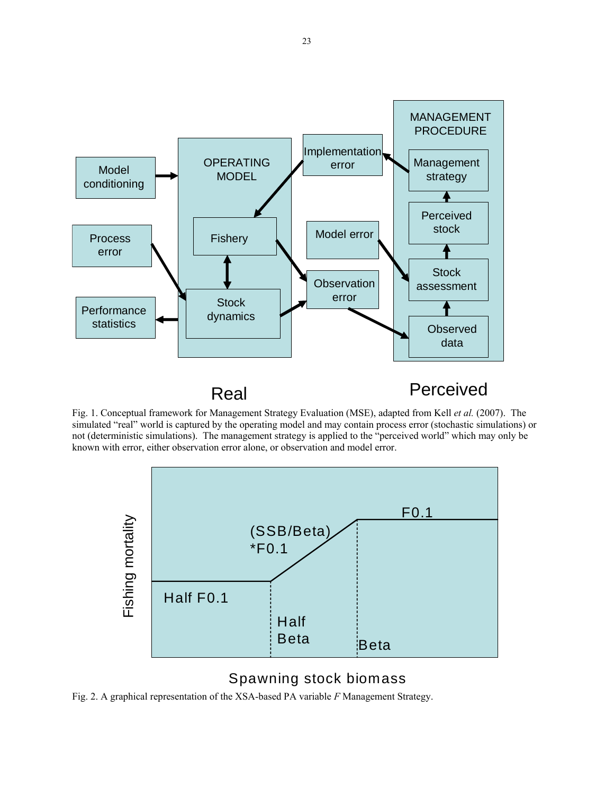

Fig. 1. Conceptual framework for Management Strategy Evaluation (MSE), adapted from Kell *et al.* (2007). The simulated "real" world is captured by the operating model and may contain process error (stochastic simulations) or not (deterministic simulations). The management strategy is applied to the "perceived world" which may only be known with error, either observation error alone, or observation and model error.



### Spawning stock biomass

Fig. 2. A graphical representation of the XSA-based PA variable *F* Management Strategy.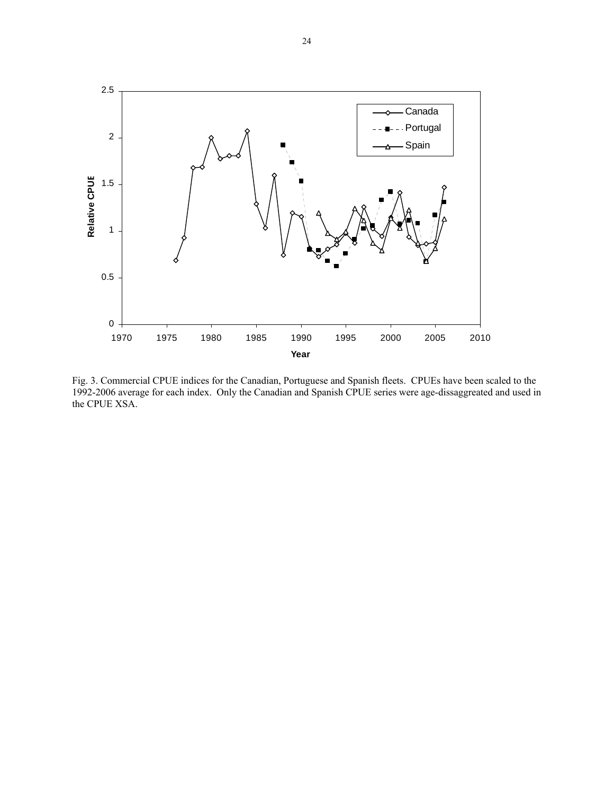

Fig. 3. Commercial CPUE indices for the Canadian, Portuguese and Spanish fleets. CPUEs have been scaled to the 1992-2006 average for each index. Only the Canadian and Spanish CPUE series were age-dissaggreated and used in the CPUE XSA.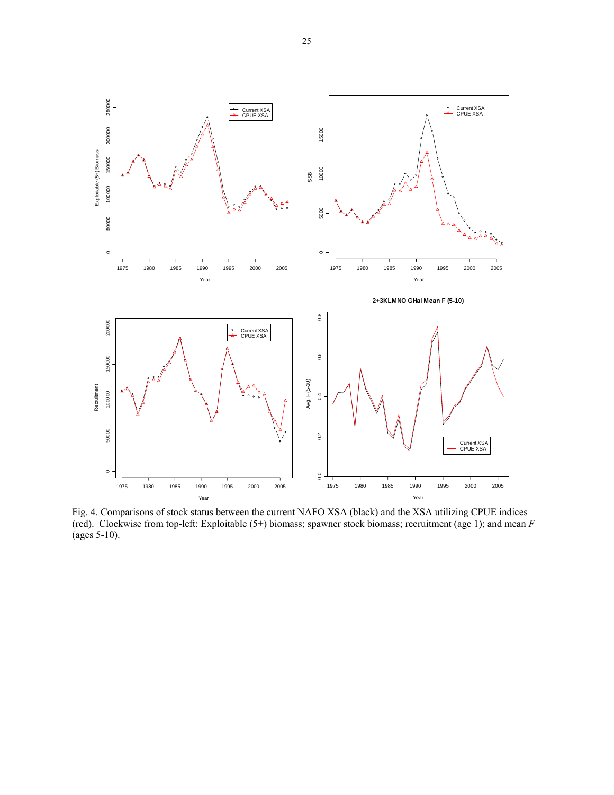

Fig. 4. Comparisons of stock status between the current NAFO XSA (black) and the XSA utilizing CPUE indices (red). Clockwise from top-left: Exploitable (5+) biomass; spawner stock biomass; recruitment (age 1); and mean *F* (ages 5-10).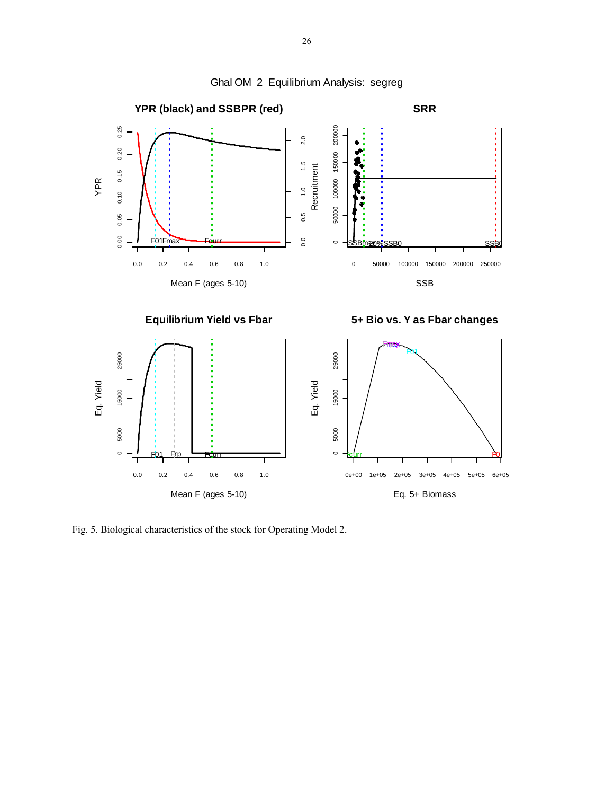

Ghal OM 2 Equilibrium Analysis: segreg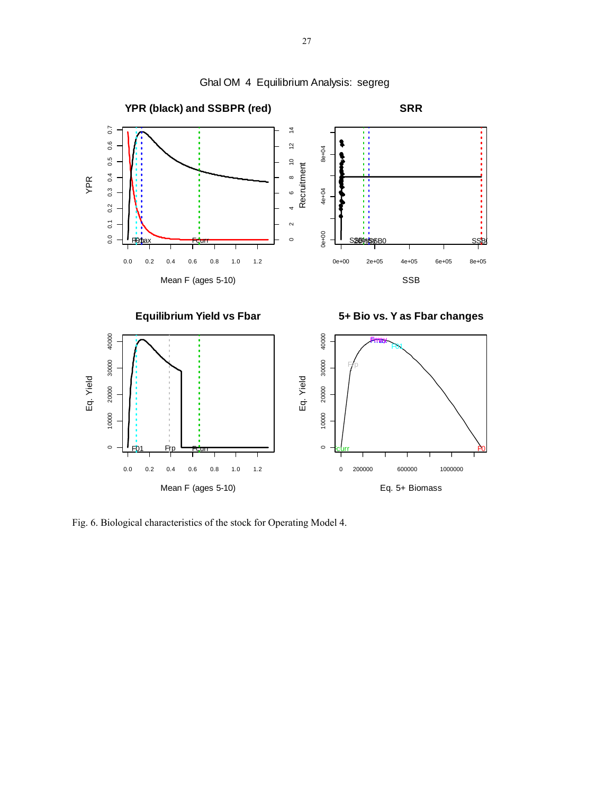

Ghal OM 4 Equilibrium Analysis: segreg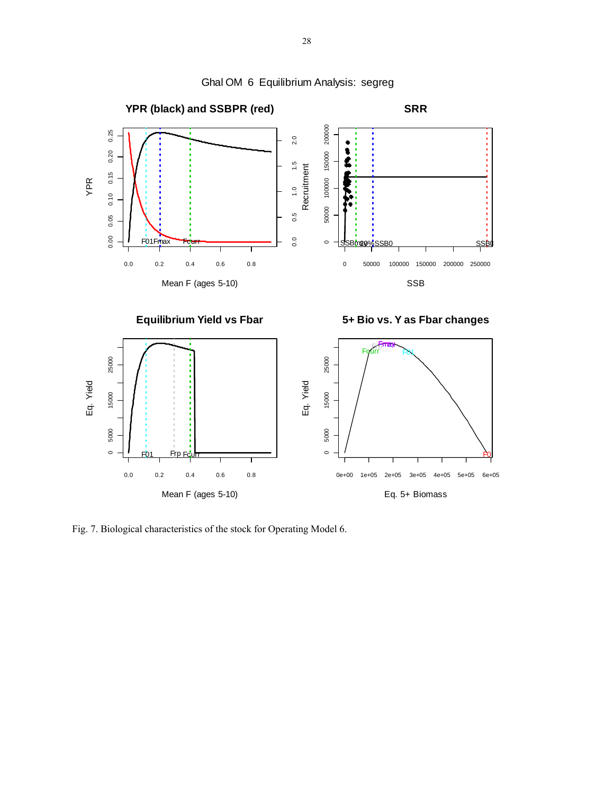

Ghal OM 6 Equilibrium Analysis: segreg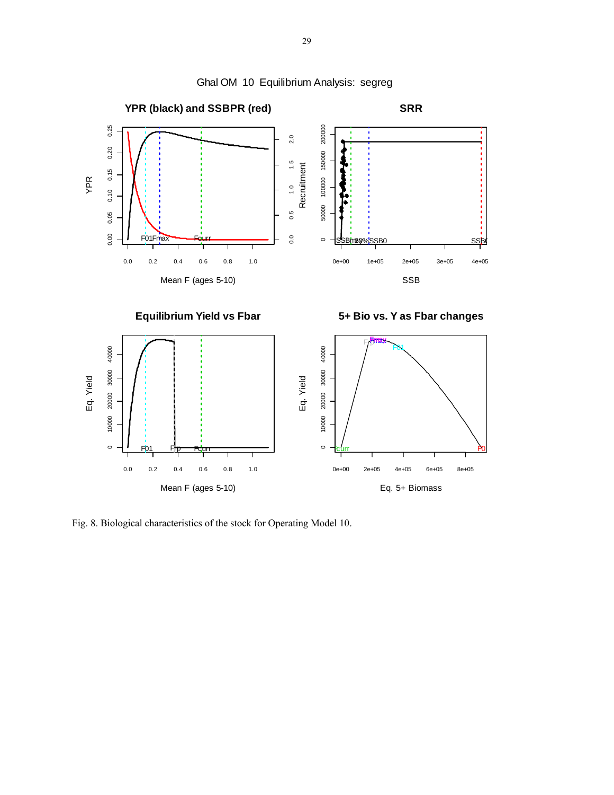

Ghal OM 10 Equilibrium Analysis: segreg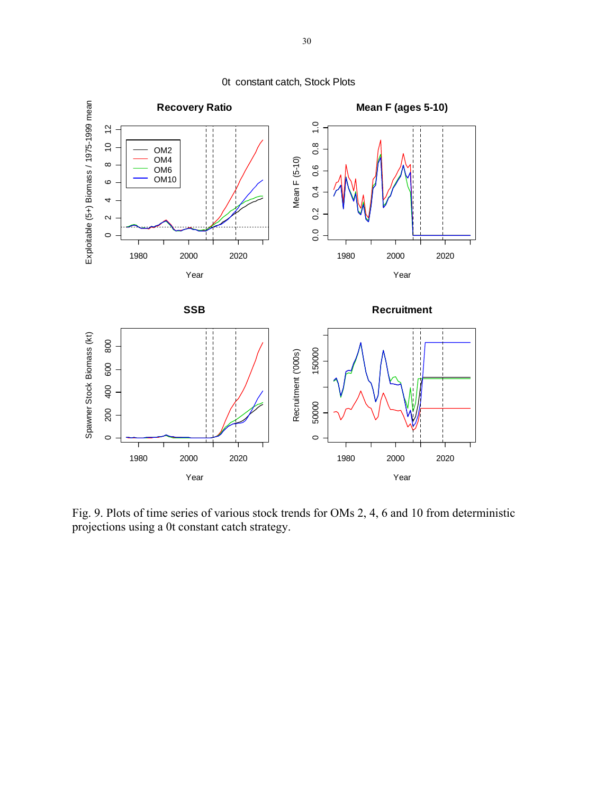

0t constant catch, Stock Plots

Fig. 9. Plots of time series of various stock trends for OMs 2, 4, 6 and 10 from deterministic projections using a 0t constant catch strategy.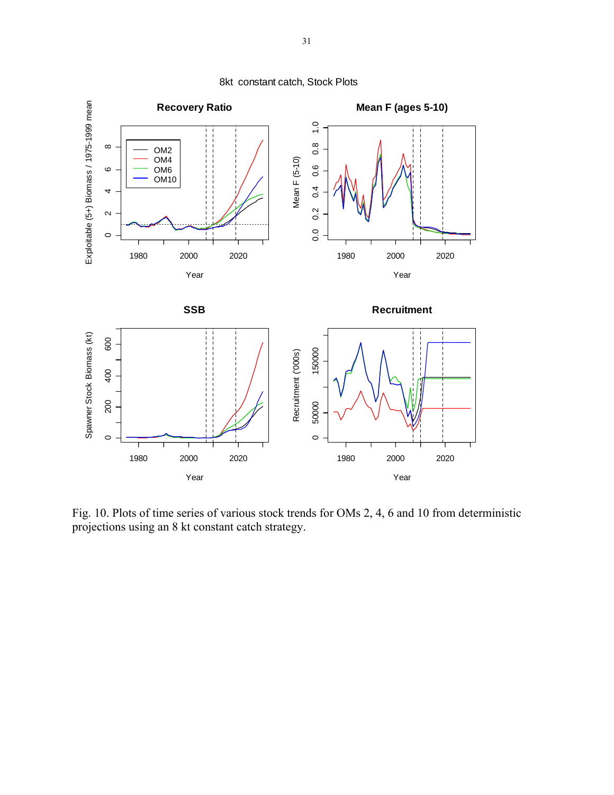

8kt constant catch, Stock Plots

Fig. 10. Plots of time series of various stock trends for OMs 2, 4, 6 and 10 from deterministic projections using an 8 kt constant catch strategy.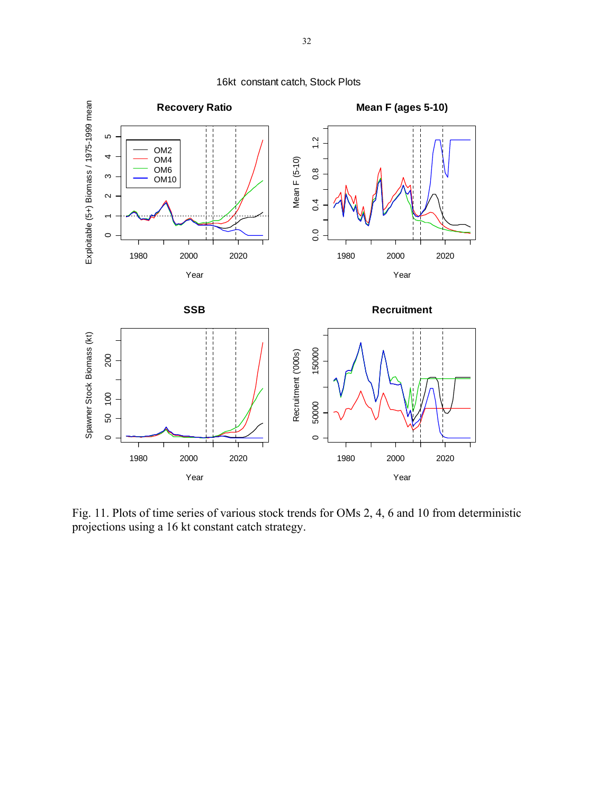

16kt constant catch, Stock Plots

Fig. 11. Plots of time series of various stock trends for OMs 2, 4, 6 and 10 from deterministic projections using a 16 kt constant catch strategy.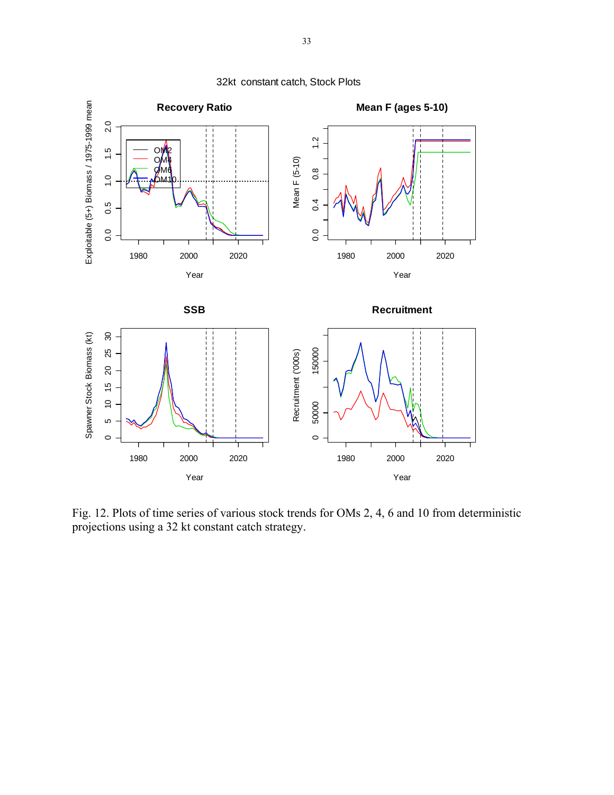

32kt constant catch, Stock Plots

Fig. 12. Plots of time series of various stock trends for OMs 2, 4, 6 and 10 from deterministic projections using a 32 kt constant catch strategy.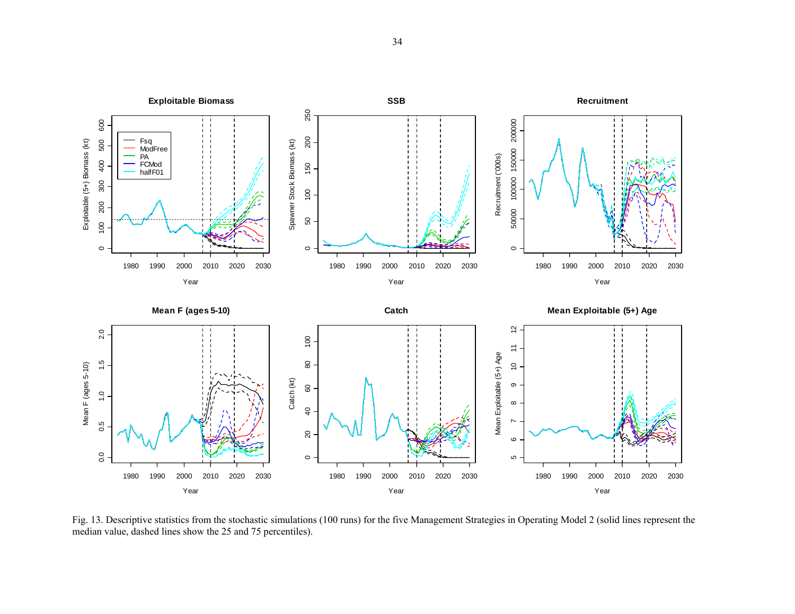

Fig. 13. Descriptive statistics from the stochastic simulations (100 runs) for the five Management Strategies in Operating Model 2 (solid lines represent the median value, dashed lines show the 25 and 75 percentiles).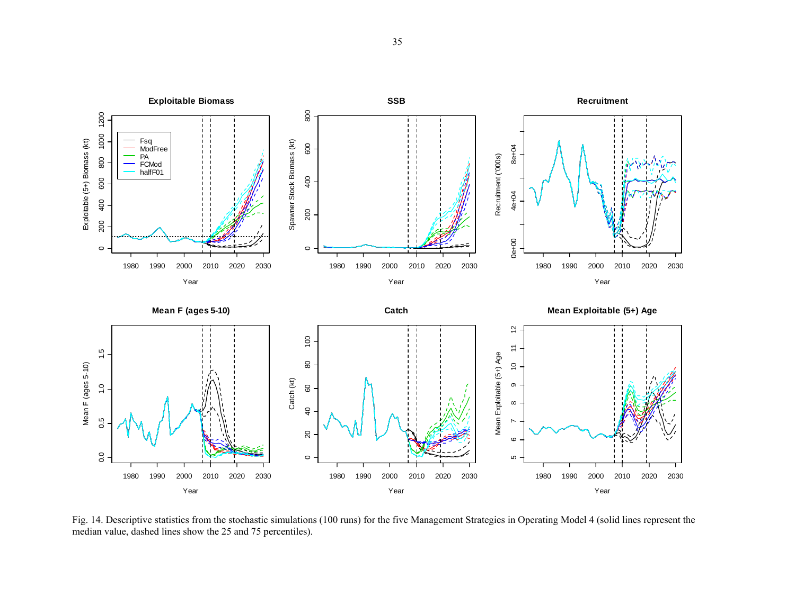

Fig. 14. Descriptive statistics from the stochastic simulations (100 runs) for the five Management Strategies in Operating Model 4 (solid lines represent the median value, dashed lines show the 25 and 75 percentiles).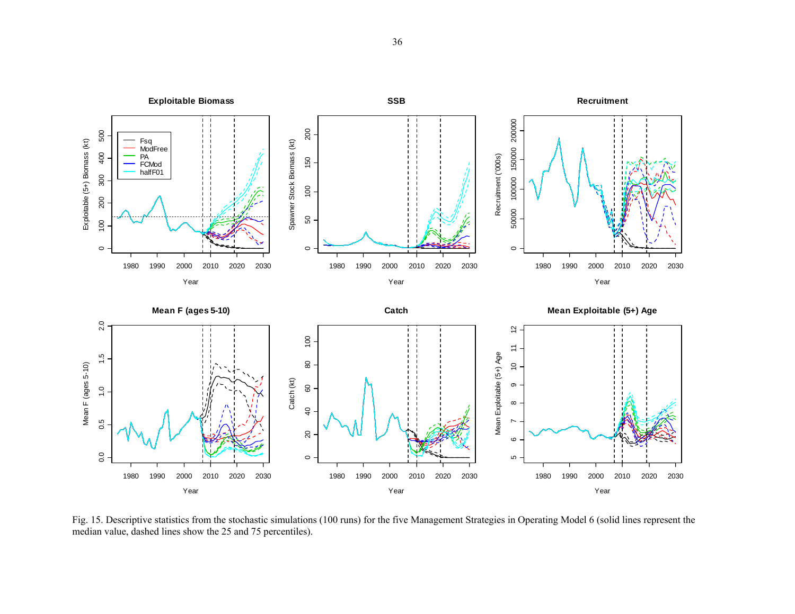

Fig. 15. Descriptive statistics from the stochastic simulations (100 runs) for the five Management Strategies in Operating Model 6 (solid lines represent the median value, dashed lines show the 25 and 75 percentiles).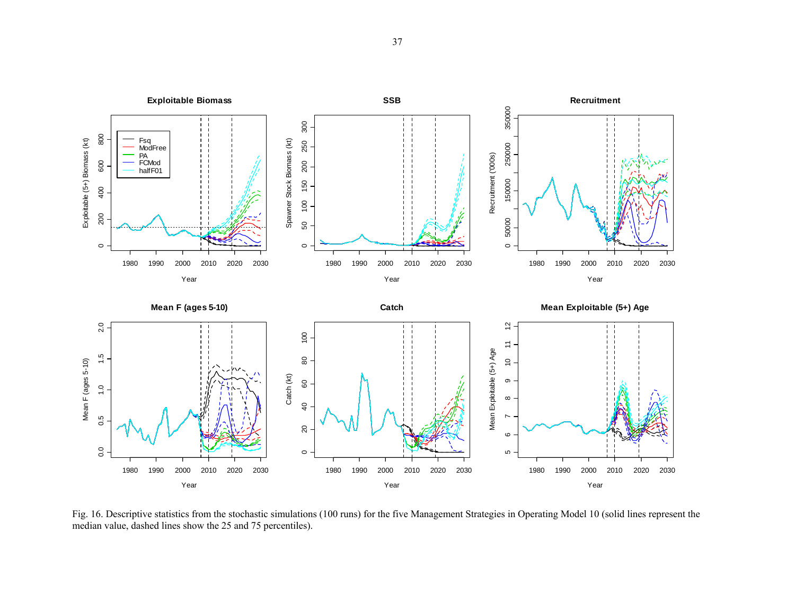

Fig. 16. Descriptive statistics from the stochastic simulations (100 runs) for the five Management Strategies in Operating Model 10 (solid lines represent the median value, dashed lines show the 25 and 75 percentiles).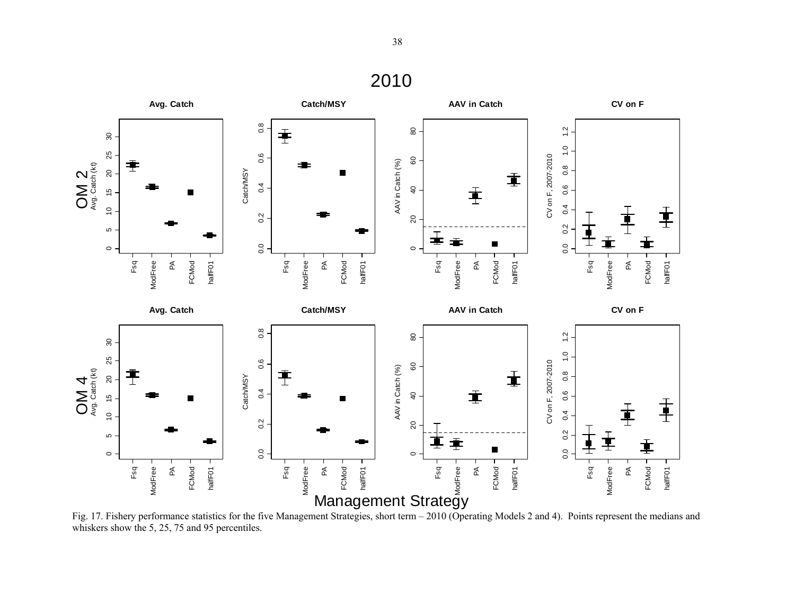

Fig. 17. Fishery performance statistics for the five Management Strategies, short term – 2010 (Operating Models 2 and 4). Points represent the medians and whiskers show the 5, 25, 75 and 95 percentiles.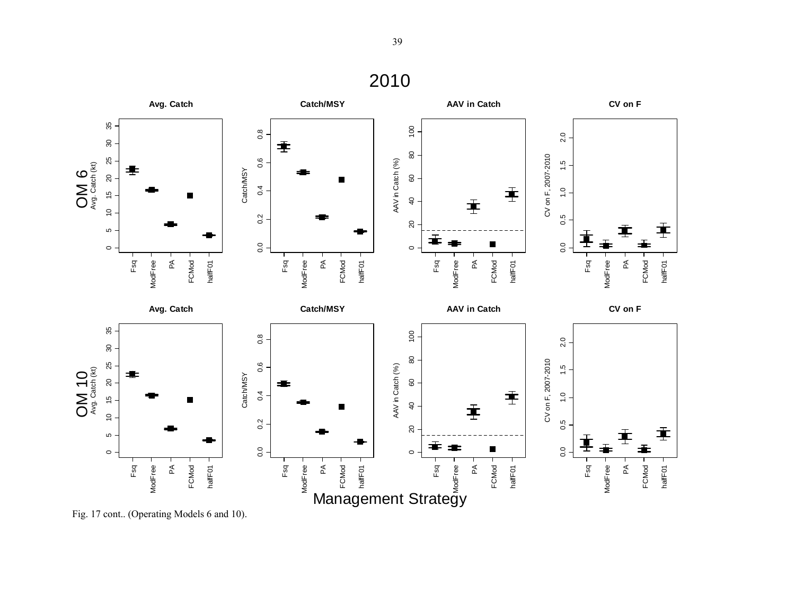

Fig. 17 cont.. (Operating Models 6 and 10).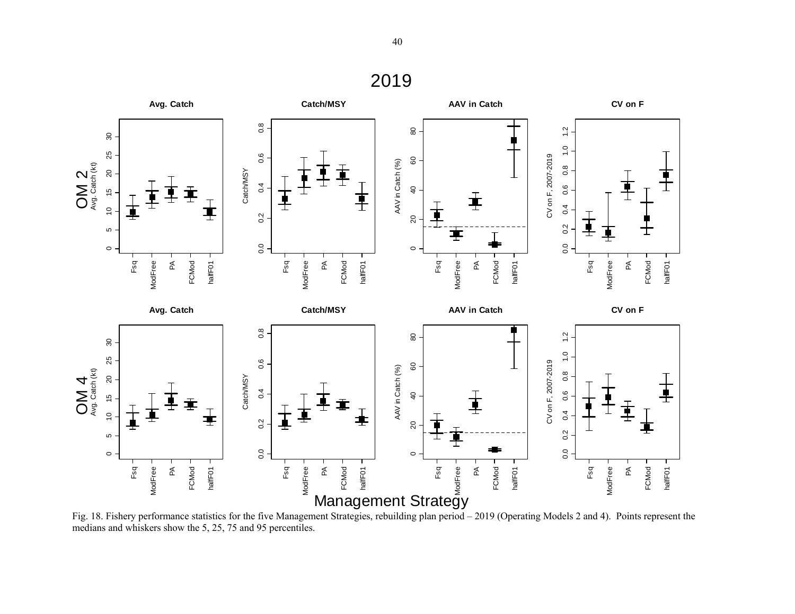

Fig. 18. Fishery performance statistics for the five Management Strategies, rebuilding plan period – 2019 (Operating Models 2 and 4). Points represent the medians and whiskers show the 5, 25, 75 and 95 percentiles.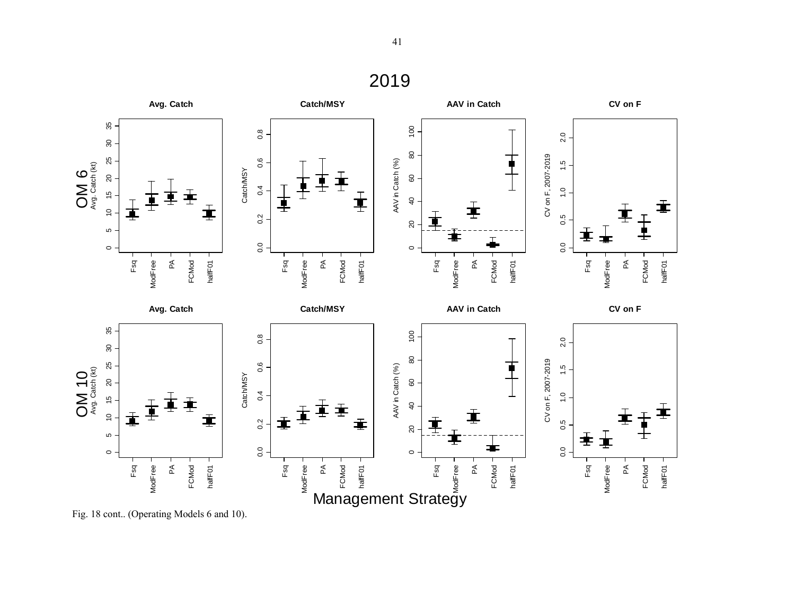#### **Avg. Catch Catch/MSY AAV in Catch CV on F** 35 0 5 10 15 20 25 30 35  $\overline{100}$ 0 20 40 60 80 100  $\frac{8}{2}$ 0.0 0.2 0.4 0.6 0.8  $2.0$ 0.0 0.5 1.0 1.5 2.0  $80\,$ 80 CV on F, 2007-2019 CV on F, 2007-2019 OM 6<br>Avg. Catch (kt) 25  $0.6$ AAV in Catch (%)  $\frac{15}{1}$ AAV in Catch (%) Avg. Catch (kt) Catch/MSY Catch/MSY  $15$  20  $\mbox{ }^{\mathbb{G}}$  $0.4$  $\frac{1}{2}$ . ∔ 車  $\overline{40}$ 士 重 重  $\frac{1}{2}$ 直  $0.5$  $\frac{2}{5}$  $20\,$ LO. ⊒  $\top$  $\overline{0}$ .  $0.0$  $\circ$  $\circ$ ModFree -Fsq **ModFree** FCMod halfF01 Fsq **ModFree** FCMod halfF01 Fsq **ModFree** FCMod halfF01 Fsq FCMod halfF01  $\mathop{\mathsf{z}}\nolimits$  $\tilde{\mathbb{E}}$  $\mathbb A$  $\mathbb A$ ModFree ModFree ModFree ModFree **Avg. Catch Catch/MSY AAV in Catch CV on F** 35 0 5 10 15 20 25 30 35 100 0 20 40 60 80 100  $0.\overline{8}$ 0.0 0.2 0.4 0.6 0.8  $2.0$ 0.0 0.5 1.0 1.5 2.0 90  $\pmb{\mathbb{S}}$ CV on F, 2007-2019 25  $0.6$ CV on F, 2007-2019 OM 10 AAV in Catch (%)  $\frac{5}{1}$ AAV in Catch (%) Avg. Catch (kt) Catch/MSY Catch/MSY  $\overline{20}$ 80  $0.4$  $\frac{1}{2}$ .  $\frac{6}{7}$  $\overline{40}$ 主  $\frac{1}{2}$ 굴 重  $0.2$  $0.5$ 士  $\overline{a}$ LO 丰 ≢  $\overline{0}$ .  $0.0$  $\circ$  $\circ$ Fsq ModFree FCMod halfF01 Fsq ModFree FCMod Fsq ModFree FCMod  $\mathbb{E}$ halfF01  $\mathbb{E}% _{z}$  $\mathbb{E}$ halfF01 ModFree ModFree PA<br>FCMod<br>halfF01<br>Fsq ModFree ModFree

Management Strategy

Fig. 18 cont.. (Operating Models 6 and 10).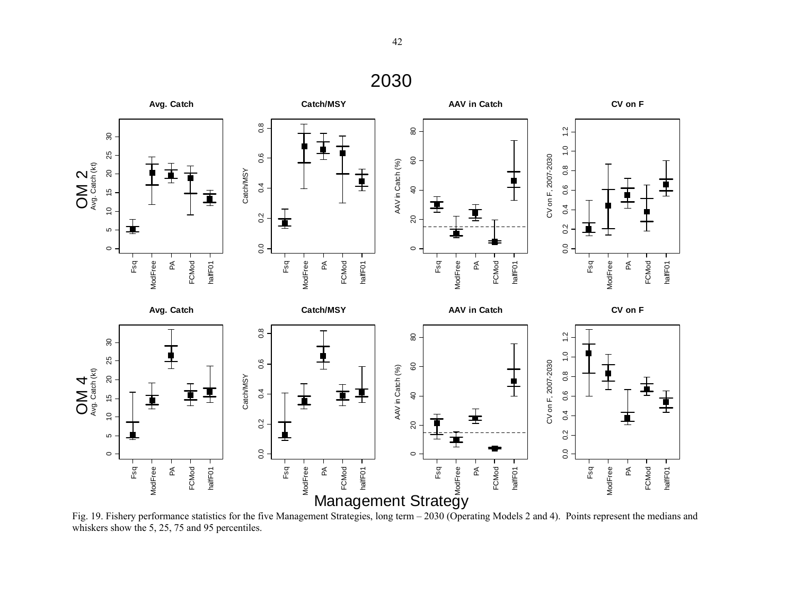

Fig. 19. Fishery performance statistics for the five Management Strategies, long term – 2030 (Operating Models 2 and 4). Points represent the medians and whiskers show the 5, 25, 75 and 95 percentiles.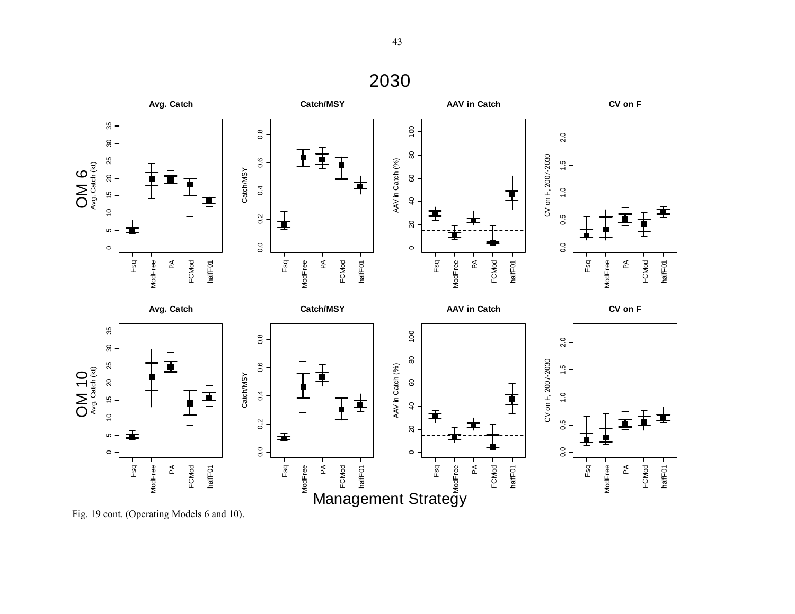

Fig. 19 cont. (Operating Models 6 and 10).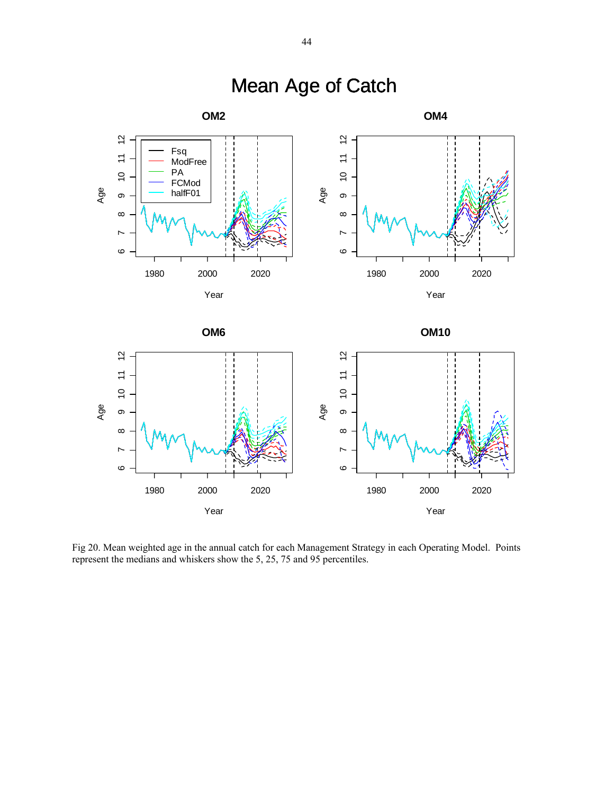

# Mean Age of Catch

Fig 20. Mean weighted age in the annual catch for each Management Strategy in each Operating Model. Points represent the medians and whiskers show the 5, 25, 75 and 95 percentiles.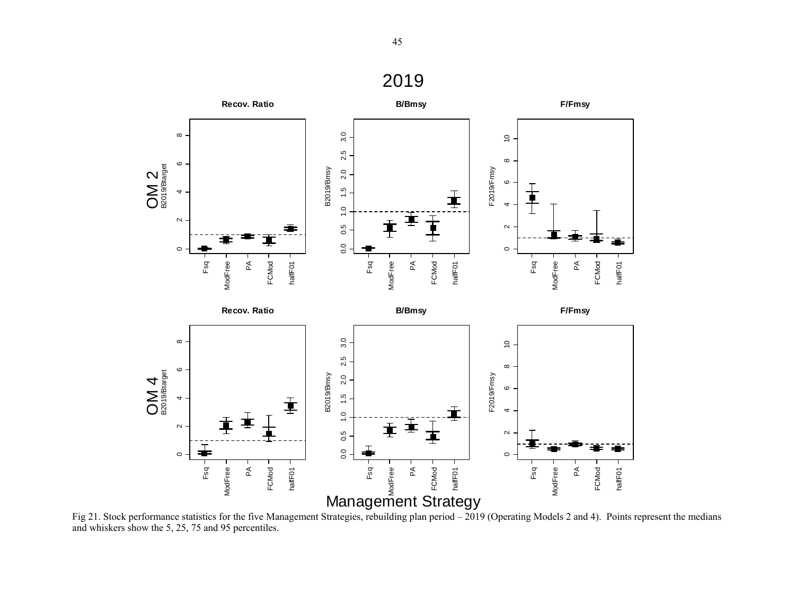

Fig 21. Stock performance statistics for the five Management Strategies, rebuilding plan period – 2019 (Operating Models 2 and 4). Points represent the medians and whiskers show the 5, 25, 75 and 95 percentiles.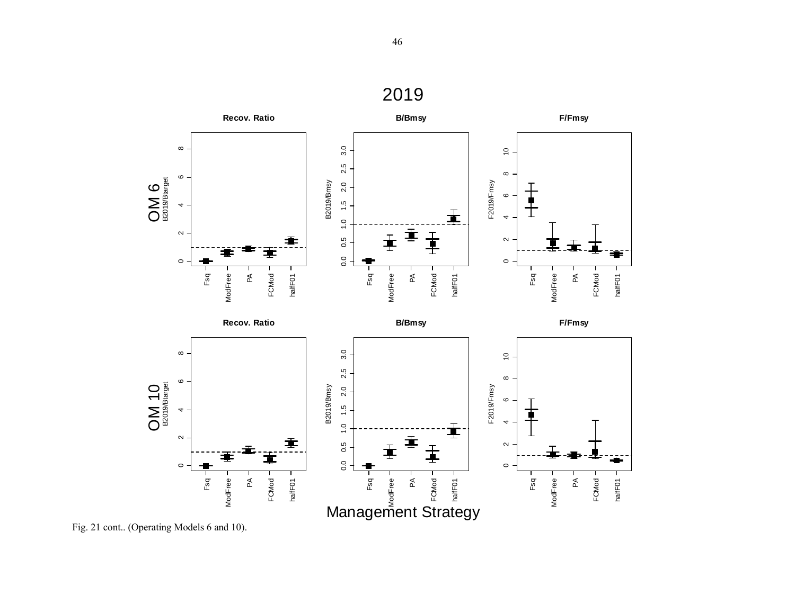![](_page_45_Figure_1.jpeg)

Fig. 21 cont.. (Operating Models 6 and 10).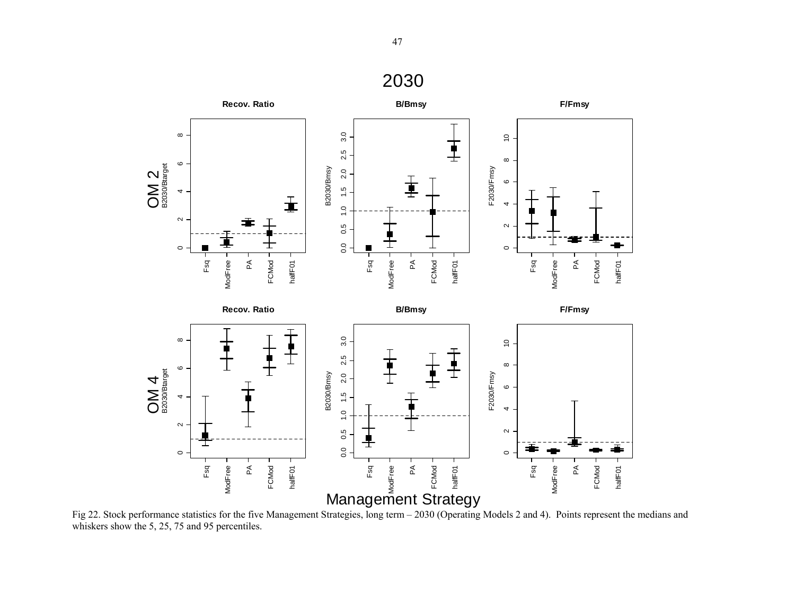![](_page_46_Figure_2.jpeg)

Fig 22. Stock performance statistics for the five Management Strategies, long term – 2030 (Operating Models 2 and 4). Points represent the medians and whiskers show the 5, 25, 75 and 95 percentiles.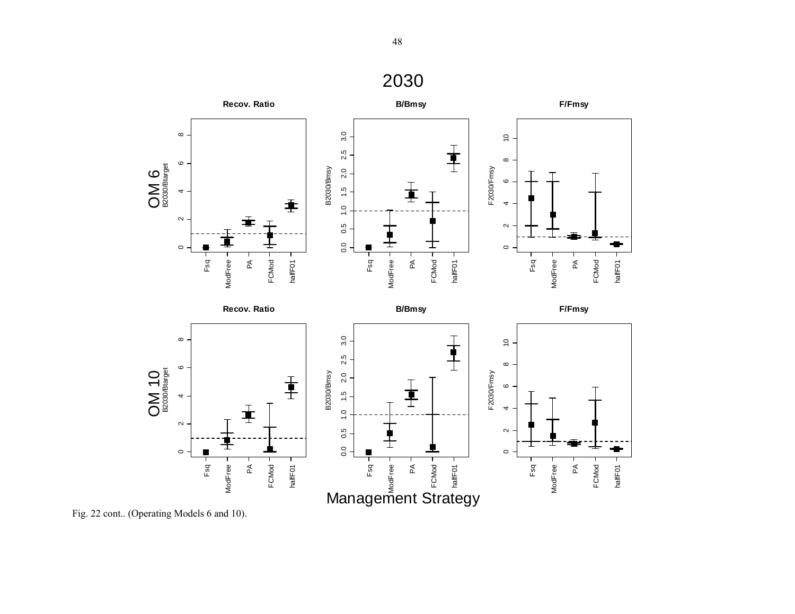![](_page_47_Figure_0.jpeg)

Fsq PA FCMod halfF01

Management Strategy

Fsq

 $\sim$ 

 $\circ$ 

ModFree

ModFree

 $\mathbb A$ 

FCMod

halfF01

ModFree

 $0.5$ 

 $0.0$ 

Fig. 22 cont.. (Operating Models 6 and 10).

B2030/Btarget

 $\sim$ 

 $\circ$ 

OM 10

Fsq

ModFree

ModFree

∓

 $\mathbb A$ 

FCMod

halfF01

B2030/Btarget

OM 6<br>B2030/Btarget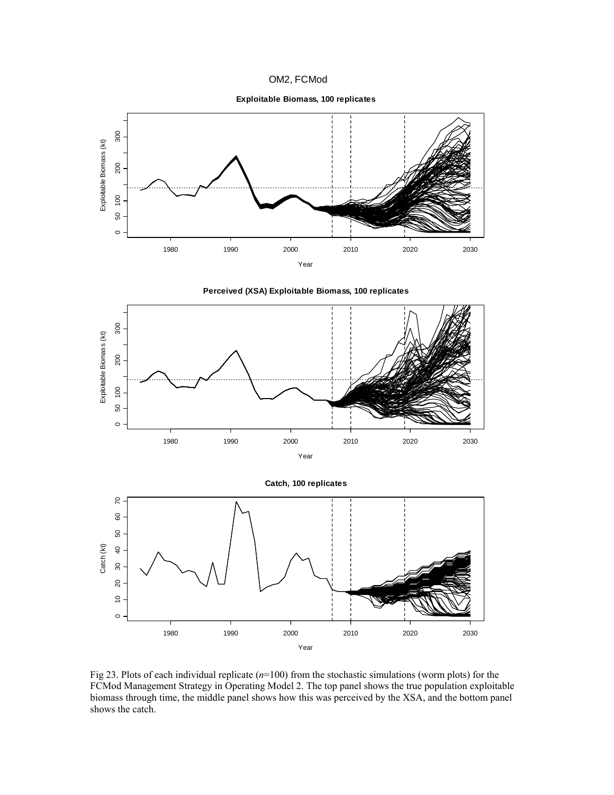![](_page_48_Figure_0.jpeg)

**Exploitable Biomass, 100 replicates**

![](_page_48_Figure_2.jpeg)

![](_page_48_Figure_3.jpeg)

![](_page_48_Figure_4.jpeg)

**Catch, 100 replicates**

![](_page_48_Figure_6.jpeg)

Fig 23. Plots of each individual replicate (*n*=100) from the stochastic simulations (worm plots) for the FCMod Management Strategy in Operating Model 2. The top panel shows the true population exploitable biomass through time, the middle panel shows how this was perceived by the XSA, and the bottom panel shows the catch.